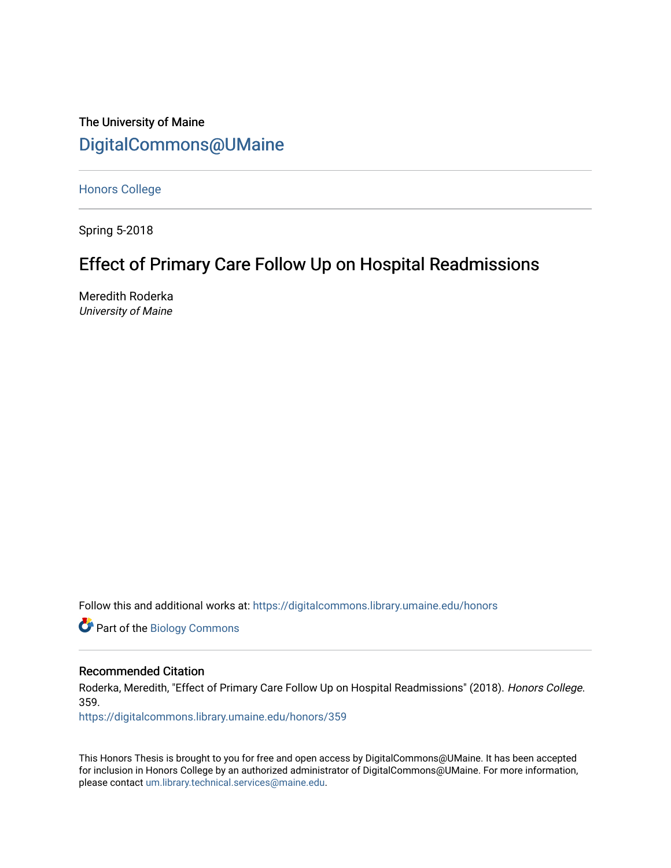The University of Maine [DigitalCommons@UMaine](https://digitalcommons.library.umaine.edu/)

[Honors College](https://digitalcommons.library.umaine.edu/honors)

Spring 5-2018

# Effect of Primary Care Follow Up on Hospital Readmissions

Meredith Roderka University of Maine

Follow this and additional works at: [https://digitalcommons.library.umaine.edu/honors](https://digitalcommons.library.umaine.edu/honors?utm_source=digitalcommons.library.umaine.edu%2Fhonors%2F359&utm_medium=PDF&utm_campaign=PDFCoverPages) 

Part of the [Biology Commons](http://network.bepress.com/hgg/discipline/41?utm_source=digitalcommons.library.umaine.edu%2Fhonors%2F359&utm_medium=PDF&utm_campaign=PDFCoverPages) 

## Recommended Citation

Roderka, Meredith, "Effect of Primary Care Follow Up on Hospital Readmissions" (2018). Honors College. 359.

[https://digitalcommons.library.umaine.edu/honors/359](https://digitalcommons.library.umaine.edu/honors/359?utm_source=digitalcommons.library.umaine.edu%2Fhonors%2F359&utm_medium=PDF&utm_campaign=PDFCoverPages) 

This Honors Thesis is brought to you for free and open access by DigitalCommons@UMaine. It has been accepted for inclusion in Honors College by an authorized administrator of DigitalCommons@UMaine. For more information, please contact [um.library.technical.services@maine.edu.](mailto:um.library.technical.services@maine.edu)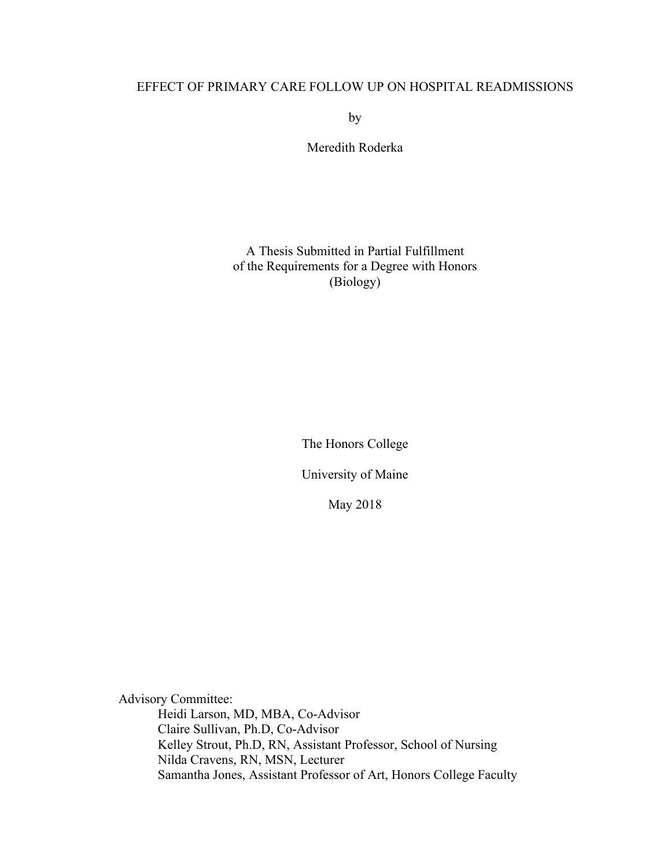by

Meredith Roderka

## A Thesis Submitted in Partial Fulfillment of the Requirements for a Degree with Honors (Biology)

The Honors College

University of Maine

May 2018

Advisory Committee: Heidi Larson, MD, MBA, Co-Advisor Claire Sullivan, Ph.D, Co-Advisor Kelley Strout, Ph.D, RN, Assistant Professor, School of Nursing Nilda Cravens, RN, MSN, Lecturer Samantha Jones, Assistant Professor of Art, Honors College Faculty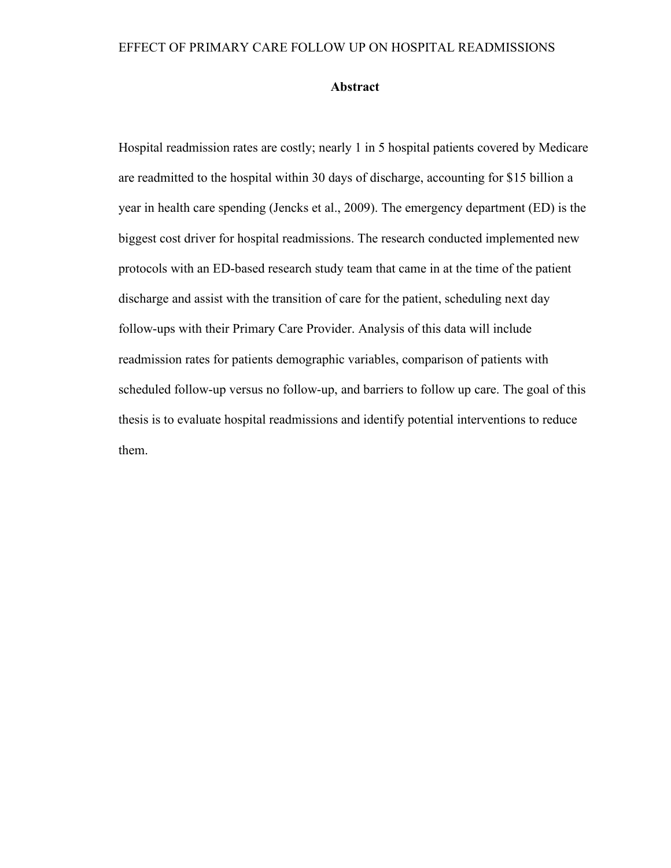#### **Abstract**

Hospital readmission rates are costly; nearly 1 in 5 hospital patients covered by Medicare are readmitted to the hospital within 30 days of discharge, accounting for \$15 billion a year in health care spending (Jencks et al., 2009). The emergency department (ED) is the biggest cost driver for hospital readmissions. The research conducted implemented new protocols with an ED-based research study team that came in at the time of the patient discharge and assist with the transition of care for the patient, scheduling next day follow-ups with their Primary Care Provider. Analysis of this data will include readmission rates for patients demographic variables, comparison of patients with scheduled follow-up versus no follow-up, and barriers to follow up care. The goal of this thesis is to evaluate hospital readmissions and identify potential interventions to reduce them.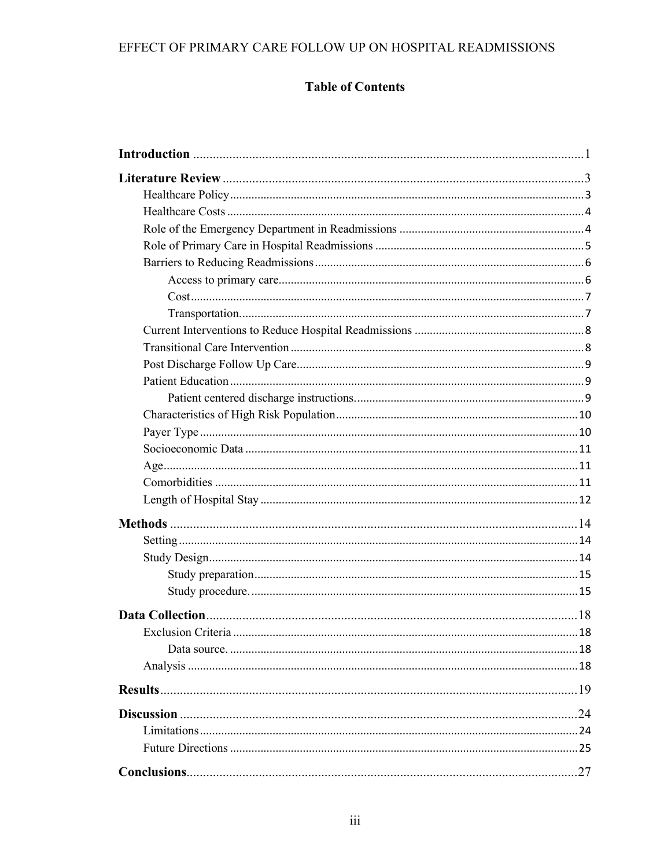# **Table of Contents**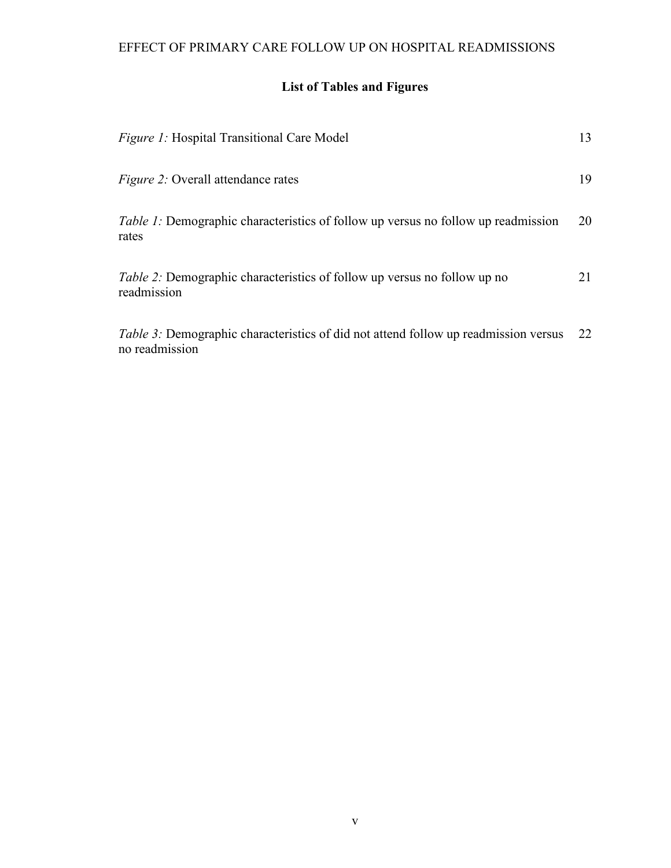# **List of Tables and Figures**

| <i>Figure 1:</i> Hospital Transitional Care Model                                                            | 13 |
|--------------------------------------------------------------------------------------------------------------|----|
| <i>Figure 2:</i> Overall attendance rates                                                                    | 19 |
| <i>Table 1:</i> Demographic characteristics of follow up versus no follow up readmission<br>rates            | 20 |
| <i>Table 2:</i> Demographic characteristics of follow up versus no follow up no<br>readmission               | 21 |
| <i>Table 3:</i> Demographic characteristics of did not attend follow up readmission versus<br>no readmission | 22 |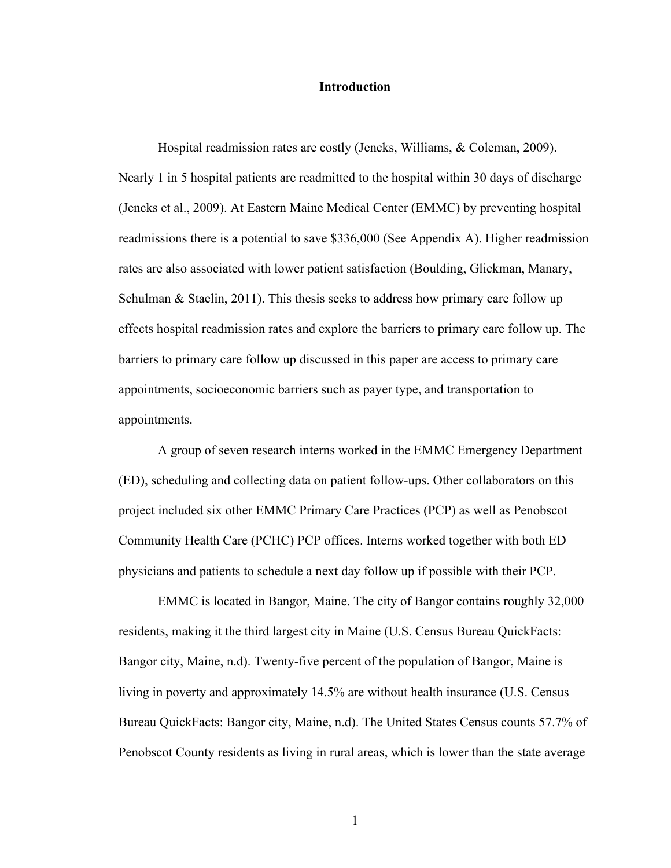#### **Introduction**

Hospital readmission rates are costly (Jencks, Williams, & Coleman, 2009). Nearly 1 in 5 hospital patients are readmitted to the hospital within 30 days of discharge (Jencks et al., 2009). At Eastern Maine Medical Center (EMMC) by preventing hospital readmissions there is a potential to save \$336,000 (See Appendix A). Higher readmission rates are also associated with lower patient satisfaction (Boulding, Glickman, Manary, Schulman & Staelin, 2011). This thesis seeks to address how primary care follow up effects hospital readmission rates and explore the barriers to primary care follow up. The barriers to primary care follow up discussed in this paper are access to primary care appointments, socioeconomic barriers such as payer type, and transportation to appointments.

A group of seven research interns worked in the EMMC Emergency Department (ED), scheduling and collecting data on patient follow-ups. Other collaborators on this project included six other EMMC Primary Care Practices (PCP) as well as Penobscot Community Health Care (PCHC) PCP offices. Interns worked together with both ED physicians and patients to schedule a next day follow up if possible with their PCP.

EMMC is located in Bangor, Maine. The city of Bangor contains roughly 32,000 residents, making it the third largest city in Maine (U.S. Census Bureau QuickFacts: Bangor city, Maine, n.d). Twenty-five percent of the population of Bangor, Maine is living in poverty and approximately 14.5% are without health insurance (U.S. Census Bureau QuickFacts: Bangor city, Maine, n.d). The United States Census counts 57.7% of Penobscot County residents as living in rural areas, which is lower than the state average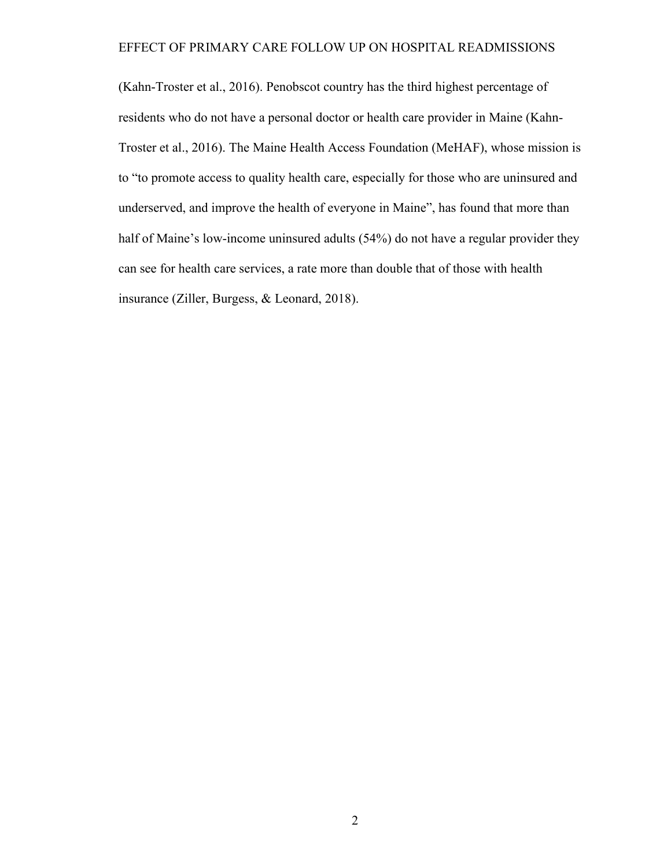(Kahn-Troster et al., 2016). Penobscot country has the third highest percentage of residents who do not have a personal doctor or health care provider in Maine (Kahn-Troster et al., 2016). The Maine Health Access Foundation (MeHAF), whose mission is to "to promote access to quality health care, especially for those who are uninsured and underserved, and improve the health of everyone in Maine", has found that more than half of Maine's low-income uninsured adults (54%) do not have a regular provider they can see for health care services, a rate more than double that of those with health insurance (Ziller, Burgess, & Leonard, 2018).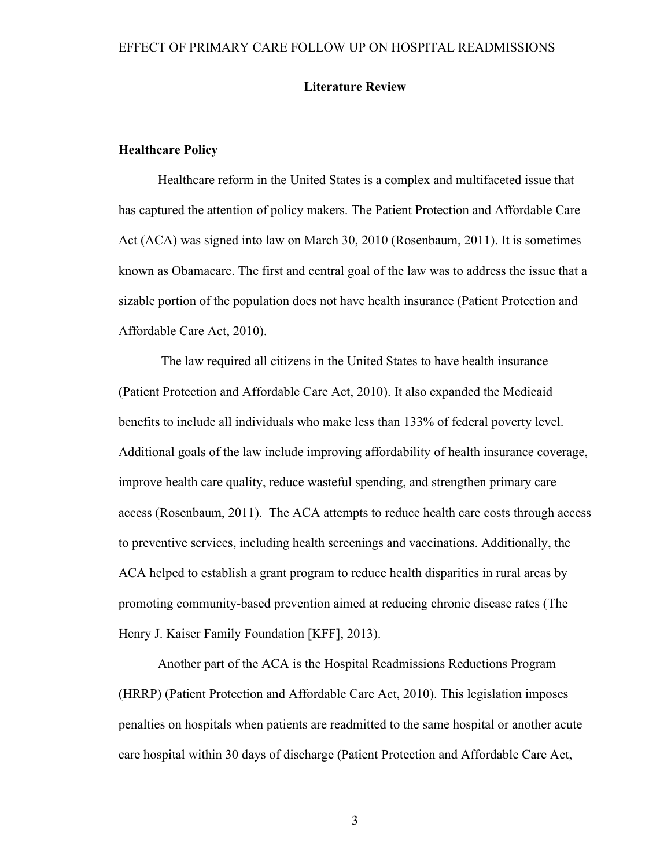## **Literature Review**

#### **Healthcare Policy**

Healthcare reform in the United States is a complex and multifaceted issue that has captured the attention of policy makers. The Patient Protection and Affordable Care Act (ACA) was signed into law on March 30, 2010 (Rosenbaum, 2011). It is sometimes known as Obamacare. The first and central goal of the law was to address the issue that a sizable portion of the population does not have health insurance (Patient Protection and Affordable Care Act, 2010).

The law required all citizens in the United States to have health insurance (Patient Protection and Affordable Care Act, 2010). It also expanded the Medicaid benefits to include all individuals who make less than 133% of federal poverty level. Additional goals of the law include improving affordability of health insurance coverage, improve health care quality, reduce wasteful spending, and strengthen primary care access (Rosenbaum, 2011). The ACA attempts to reduce health care costs through access to preventive services, including health screenings and vaccinations. Additionally, the ACA helped to establish a grant program to reduce health disparities in rural areas by promoting community-based prevention aimed at reducing chronic disease rates (The Henry J. Kaiser Family Foundation [KFF], 2013).

Another part of the ACA is the Hospital Readmissions Reductions Program (HRRP) (Patient Protection and Affordable Care Act, 2010). This legislation imposes penalties on hospitals when patients are readmitted to the same hospital or another acute care hospital within 30 days of discharge (Patient Protection and Affordable Care Act,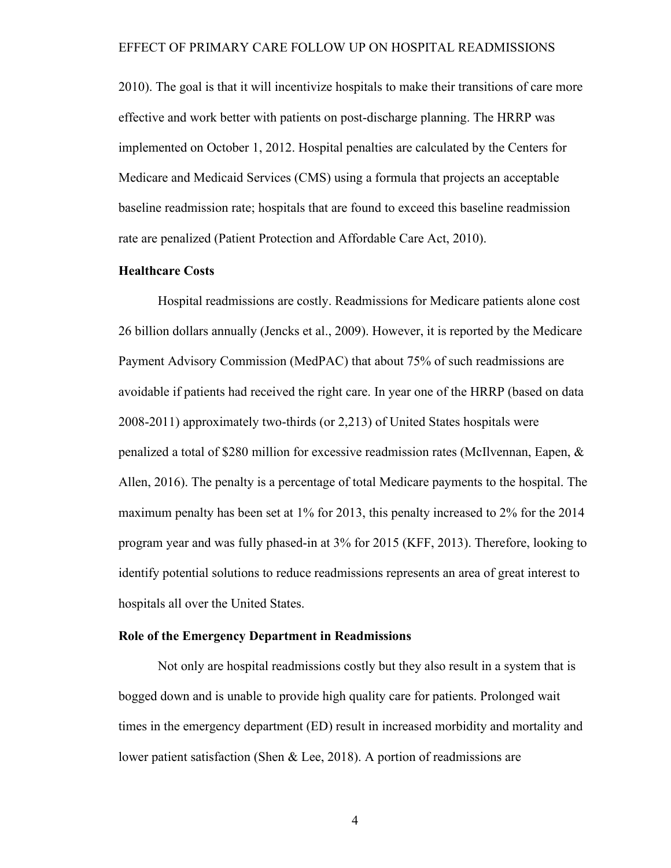2010). The goal is that it will incentivize hospitals to make their transitions of care more effective and work better with patients on post-discharge planning. The HRRP was implemented on October 1, 2012. Hospital penalties are calculated by the Centers for Medicare and Medicaid Services (CMS) using a formula that projects an acceptable baseline readmission rate; hospitals that are found to exceed this baseline readmission rate are penalized (Patient Protection and Affordable Care Act, 2010).

## **Healthcare Costs**

Hospital readmissions are costly. Readmissions for Medicare patients alone cost 26 billion dollars annually (Jencks et al., 2009). However, it is reported by the Medicare Payment Advisory Commission (MedPAC) that about 75% of such readmissions are avoidable if patients had received the right care. In year one of the HRRP (based on data 2008-2011) approximately two-thirds (or 2,213) of United States hospitals were penalized a total of \$280 million for excessive readmission rates (McIlvennan, Eapen, & Allen, 2016). The penalty is a percentage of total Medicare payments to the hospital. The maximum penalty has been set at 1% for 2013, this penalty increased to 2% for the 2014 program year and was fully phased-in at 3% for 2015 (KFF, 2013). Therefore, looking to identify potential solutions to reduce readmissions represents an area of great interest to hospitals all over the United States.

#### **Role of the Emergency Department in Readmissions**

Not only are hospital readmissions costly but they also result in a system that is bogged down and is unable to provide high quality care for patients. Prolonged wait times in the emergency department (ED) result in increased morbidity and mortality and lower patient satisfaction (Shen & Lee, 2018). A portion of readmissions are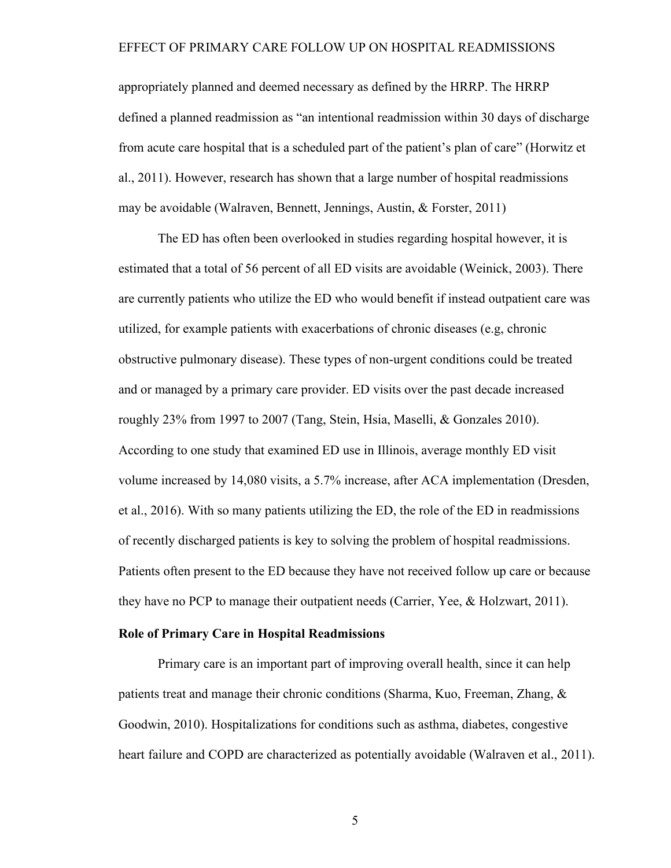appropriately planned and deemed necessary as defined by the HRRP. The HRRP defined a planned readmission as "an intentional readmission within 30 days of discharge from acute care hospital that is a scheduled part of the patient's plan of care" (Horwitz et al., 2011). However, research has shown that a large number of hospital readmissions may be avoidable (Walraven, Bennett, Jennings, Austin, & Forster, 2011)

The ED has often been overlooked in studies regarding hospital however, it is estimated that a total of 56 percent of all ED visits are avoidable (Weinick, 2003). There are currently patients who utilize the ED who would benefit if instead outpatient care was utilized, for example patients with exacerbations of chronic diseases (e.g, chronic obstructive pulmonary disease). These types of non-urgent conditions could be treated and or managed by a primary care provider. ED visits over the past decade increased roughly 23% from 1997 to 2007 (Tang, Stein, Hsia, Maselli, & Gonzales 2010). According to one study that examined ED use in Illinois, average monthly ED visit volume increased by 14,080 visits, a 5.7% increase, after ACA implementation (Dresden, et al., 2016). With so many patients utilizing the ED, the role of the ED in readmissions of recently discharged patients is key to solving the problem of hospital readmissions. Patients often present to the ED because they have not received follow up care or because they have no PCP to manage their outpatient needs (Carrier, Yee, & Holzwart, 2011).

## **Role of Primary Care in Hospital Readmissions**

Primary care is an important part of improving overall health, since it can help patients treat and manage their chronic conditions (Sharma, Kuo, Freeman, Zhang, & Goodwin, 2010). Hospitalizations for conditions such as asthma, diabetes, congestive heart failure and COPD are characterized as potentially avoidable (Walraven et al., 2011).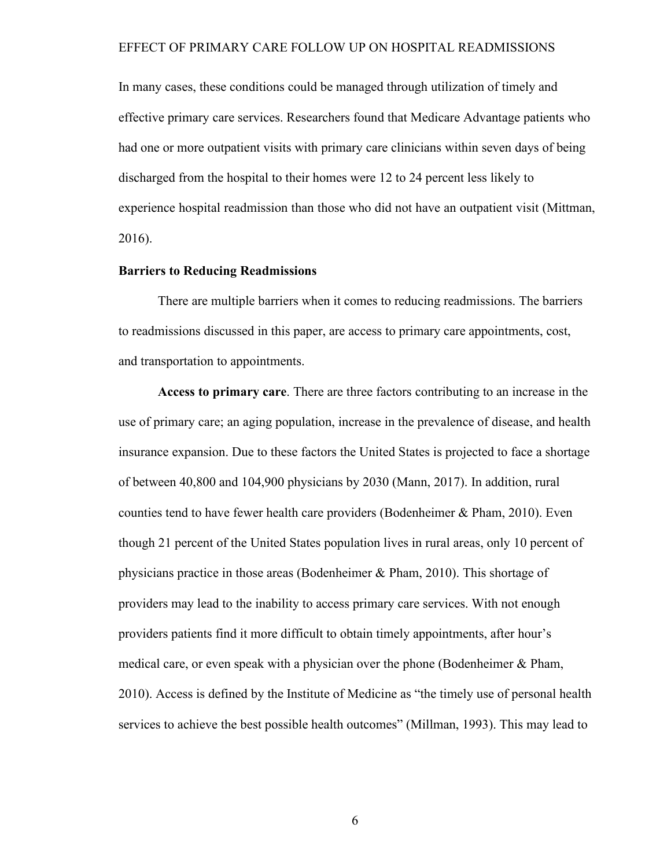In many cases, these conditions could be managed through utilization of timely and effective primary care services. Researchers found that Medicare Advantage patients who had one or more outpatient visits with primary care clinicians within seven days of being discharged from the hospital to their homes were 12 to 24 percent less likely to experience hospital readmission than those who did not have an outpatient visit (Mittman, 2016).

## **Barriers to Reducing Readmissions**

There are multiple barriers when it comes to reducing readmissions. The barriers to readmissions discussed in this paper, are access to primary care appointments, cost, and transportation to appointments.

**Access to primary care**. There are three factors contributing to an increase in the use of primary care; an aging population, increase in the prevalence of disease, and health insurance expansion. Due to these factors the United States is projected to face a shortage of between 40,800 and 104,900 physicians by 2030 (Mann, 2017). In addition, rural counties tend to have fewer health care providers (Bodenheimer & Pham, 2010). Even though 21 percent of the United States population lives in rural areas, only 10 percent of physicians practice in those areas (Bodenheimer & Pham, 2010). This shortage of providers may lead to the inability to access primary care services. With not enough providers patients find it more difficult to obtain timely appointments, after hour's medical care, or even speak with a physician over the phone (Bodenheimer & Pham, 2010). Access is defined by the Institute of Medicine as "the timely use of personal health services to achieve the best possible health outcomes" (Millman, 1993). This may lead to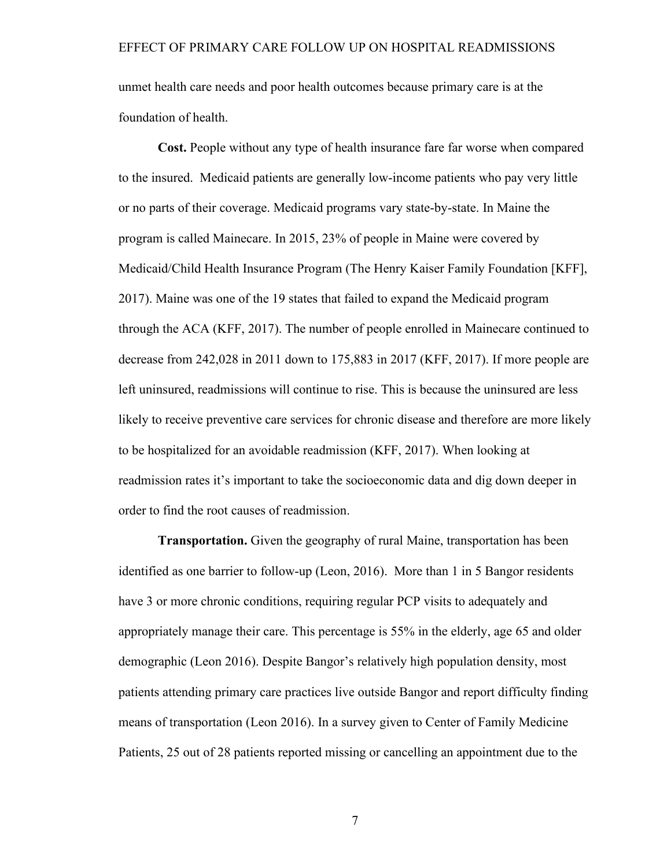unmet health care needs and poor health outcomes because primary care is at the foundation of health.

**Cost.** People without any type of health insurance fare far worse when compared to the insured. Medicaid patients are generally low-income patients who pay very little or no parts of their coverage. Medicaid programs vary state-by-state. In Maine the program is called Mainecare. In 2015, 23% of people in Maine were covered by Medicaid/Child Health Insurance Program (The Henry Kaiser Family Foundation [KFF], 2017). Maine was one of the 19 states that failed to expand the Medicaid program through the ACA (KFF, 2017). The number of people enrolled in Mainecare continued to decrease from 242,028 in 2011 down to 175,883 in 2017 (KFF, 2017). If more people are left uninsured, readmissions will continue to rise. This is because the uninsured are less likely to receive preventive care services for chronic disease and therefore are more likely to be hospitalized for an avoidable readmission (KFF, 2017). When looking at readmission rates it's important to take the socioeconomic data and dig down deeper in order to find the root causes of readmission.

**Transportation.** Given the geography of rural Maine, transportation has been identified as one barrier to follow-up (Leon, 2016). More than 1 in 5 Bangor residents have 3 or more chronic conditions, requiring regular PCP visits to adequately and appropriately manage their care. This percentage is 55% in the elderly, age 65 and older demographic (Leon 2016). Despite Bangor's relatively high population density, most patients attending primary care practices live outside Bangor and report difficulty finding means of transportation (Leon 2016). In a survey given to Center of Family Medicine Patients, 25 out of 28 patients reported missing or cancelling an appointment due to the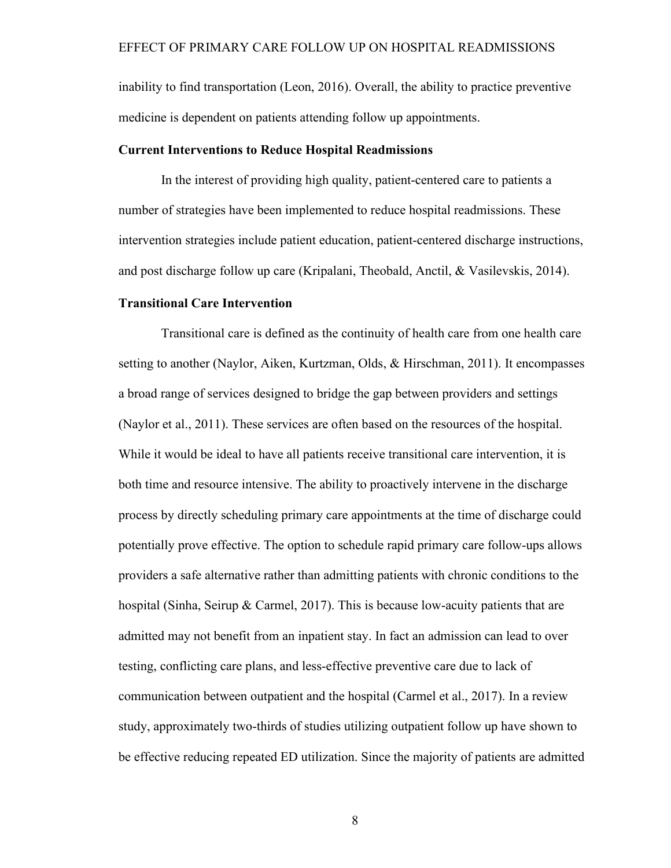inability to find transportation (Leon, 2016). Overall, the ability to practice preventive medicine is dependent on patients attending follow up appointments.

#### **Current Interventions to Reduce Hospital Readmissions**

In the interest of providing high quality, patient-centered care to patients a number of strategies have been implemented to reduce hospital readmissions. These intervention strategies include patient education, patient-centered discharge instructions, and post discharge follow up care (Kripalani, Theobald, Anctil, & Vasilevskis, 2014).

## **Transitional Care Intervention**

Transitional care is defined as the continuity of health care from one health care setting to another (Naylor, Aiken, Kurtzman, Olds, & Hirschman, 2011). It encompasses a broad range of services designed to bridge the gap between providers and settings (Naylor et al., 2011). These services are often based on the resources of the hospital. While it would be ideal to have all patients receive transitional care intervention, it is both time and resource intensive. The ability to proactively intervene in the discharge process by directly scheduling primary care appointments at the time of discharge could potentially prove effective. The option to schedule rapid primary care follow-ups allows providers a safe alternative rather than admitting patients with chronic conditions to the hospital (Sinha, Seirup & Carmel, 2017). This is because low-acuity patients that are admitted may not benefit from an inpatient stay. In fact an admission can lead to over testing, conflicting care plans, and less-effective preventive care due to lack of communication between outpatient and the hospital (Carmel et al., 2017). In a review study, approximately two-thirds of studies utilizing outpatient follow up have shown to be effective reducing repeated ED utilization. Since the majority of patients are admitted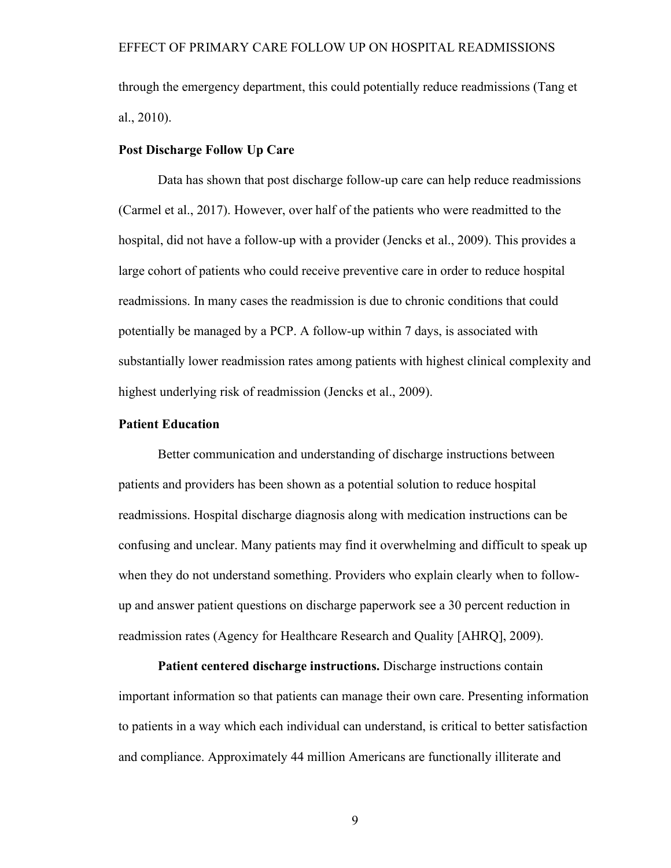through the emergency department, this could potentially reduce readmissions (Tang et al., 2010).

## **Post Discharge Follow Up Care**

Data has shown that post discharge follow-up care can help reduce readmissions (Carmel et al., 2017). However, over half of the patients who were readmitted to the hospital, did not have a follow-up with a provider (Jencks et al., 2009). This provides a large cohort of patients who could receive preventive care in order to reduce hospital readmissions. In many cases the readmission is due to chronic conditions that could potentially be managed by a PCP. A follow-up within 7 days, is associated with substantially lower readmission rates among patients with highest clinical complexity and highest underlying risk of readmission (Jencks et al., 2009).

## **Patient Education**

Better communication and understanding of discharge instructions between patients and providers has been shown as a potential solution to reduce hospital readmissions. Hospital discharge diagnosis along with medication instructions can be confusing and unclear. Many patients may find it overwhelming and difficult to speak up when they do not understand something. Providers who explain clearly when to followup and answer patient questions on discharge paperwork see a 30 percent reduction in readmission rates (Agency for Healthcare Research and Quality [AHRQ], 2009).

**Patient centered discharge instructions.** Discharge instructions contain important information so that patients can manage their own care. Presenting information to patients in a way which each individual can understand, is critical to better satisfaction and compliance. Approximately 44 million Americans are functionally illiterate and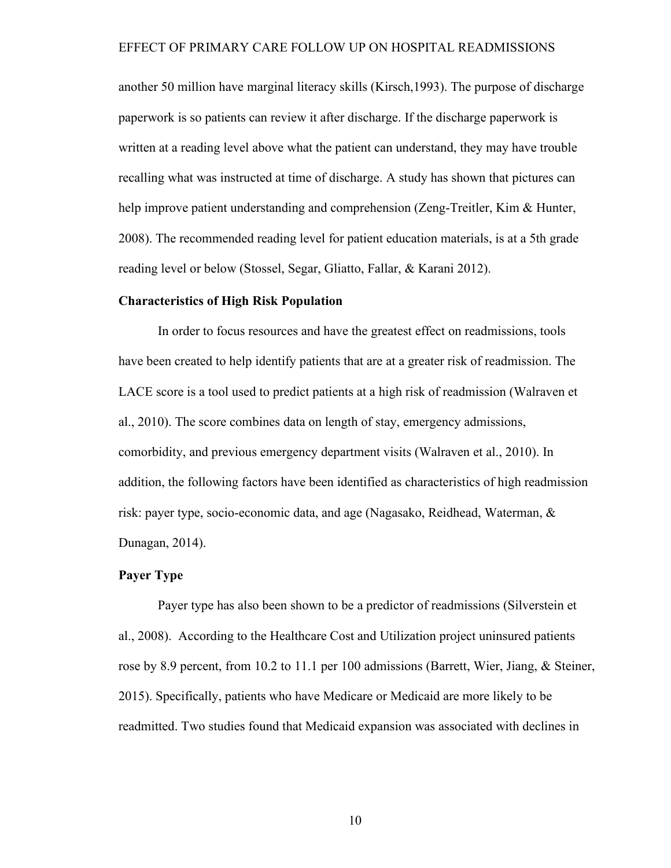another 50 million have marginal literacy skills (Kirsch,1993). The purpose of discharge paperwork is so patients can review it after discharge. If the discharge paperwork is written at a reading level above what the patient can understand, they may have trouble recalling what was instructed at time of discharge. A study has shown that pictures can help improve patient understanding and comprehension (Zeng-Treitler, Kim & Hunter, 2008). The recommended reading level for patient education materials, is at a 5th grade reading level or below (Stossel, Segar, Gliatto, Fallar, & Karani 2012).

### **Characteristics of High Risk Population**

In order to focus resources and have the greatest effect on readmissions, tools have been created to help identify patients that are at a greater risk of readmission. The LACE score is a tool used to predict patients at a high risk of readmission (Walraven et al., 2010). The score combines data on length of stay, emergency admissions, comorbidity, and previous emergency department visits (Walraven et al., 2010). In addition, the following factors have been identified as characteristics of high readmission risk: payer type, socio-economic data, and age (Nagasako, Reidhead, Waterman, & Dunagan, 2014).

## **Payer Type**

Payer type has also been shown to be a predictor of readmissions (Silverstein et al., 2008). According to the Healthcare Cost and Utilization project uninsured patients rose by 8.9 percent, from 10.2 to 11.1 per 100 admissions (Barrett, Wier, Jiang, & Steiner, 2015). Specifically, patients who have Medicare or Medicaid are more likely to be readmitted. Two studies found that Medicaid expansion was associated with declines in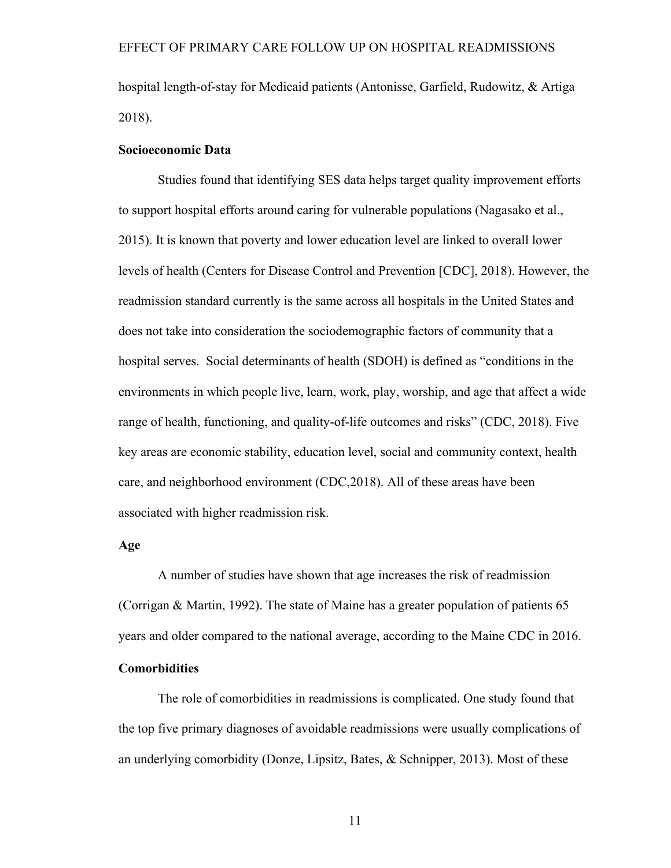hospital length-of-stay for Medicaid patients (Antonisse, Garfield, Rudowitz, & Artiga 2018).

### **Socioeconomic Data**

Studies found that identifying SES data helps target quality improvement efforts to support hospital efforts around caring for vulnerable populations (Nagasako et al., 2015). It is known that poverty and lower education level are linked to overall lower levels of health (Centers for Disease Control and Prevention [CDC], 2018). However, the readmission standard currently is the same across all hospitals in the United States and does not take into consideration the sociodemographic factors of community that a hospital serves. Social determinants of health (SDOH) is defined as "conditions in the environments in which people live, learn, work, play, worship, and age that affect a wide range of health, functioning, and quality-of-life outcomes and risks" (CDC, 2018). Five key areas are economic stability, education level, social and community context, health care, and neighborhood environment (CDC,2018). All of these areas have been associated with higher readmission risk.

## **Age**

A number of studies have shown that age increases the risk of readmission (Corrigan & Martin, 1992). The state of Maine has a greater population of patients 65 years and older compared to the national average, according to the Maine CDC in 2016. **Comorbidities**

The role of comorbidities in readmissions is complicated. One study found that the top five primary diagnoses of avoidable readmissions were usually complications of an underlying comorbidity (Donze, Lipsitz, Bates, & Schnipper, 2013). Most of these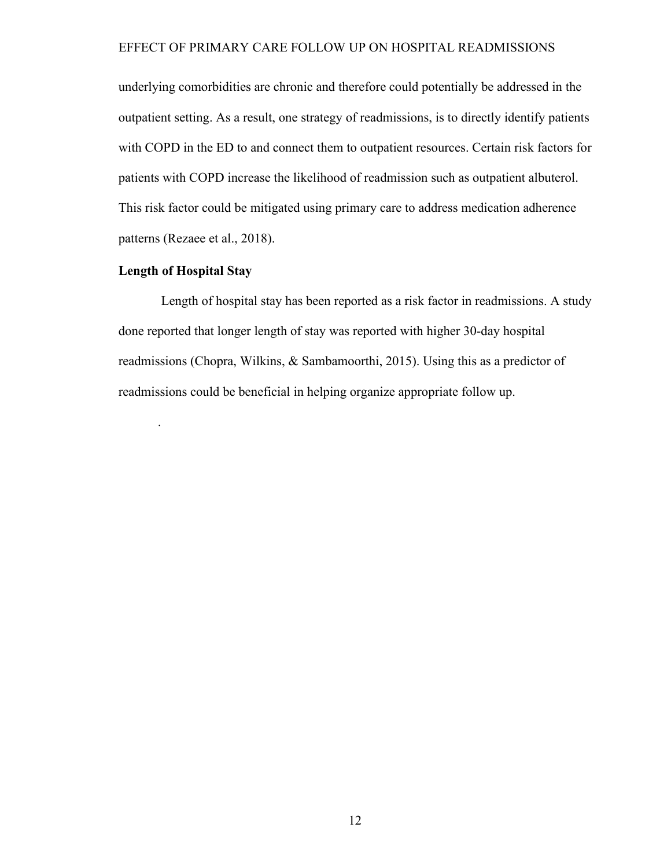underlying comorbidities are chronic and therefore could potentially be addressed in the outpatient setting. As a result, one strategy of readmissions, is to directly identify patients with COPD in the ED to and connect them to outpatient resources. Certain risk factors for patients with COPD increase the likelihood of readmission such as outpatient albuterol. This risk factor could be mitigated using primary care to address medication adherence patterns (Rezaee et al., 2018).

## **Length of Hospital Stay**

.

Length of hospital stay has been reported as a risk factor in readmissions. A study done reported that longer length of stay was reported with higher 30-day hospital readmissions (Chopra, Wilkins, & Sambamoorthi, 2015). Using this as a predictor of readmissions could be beneficial in helping organize appropriate follow up.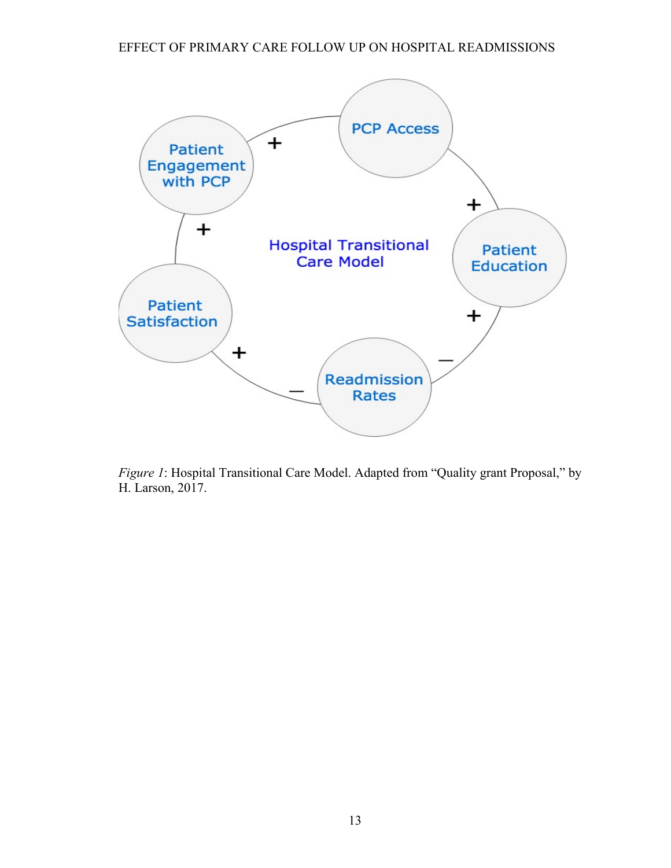

*Figure 1*: Hospital Transitional Care Model. Adapted from "Quality grant Proposal," by H. Larson, 2017.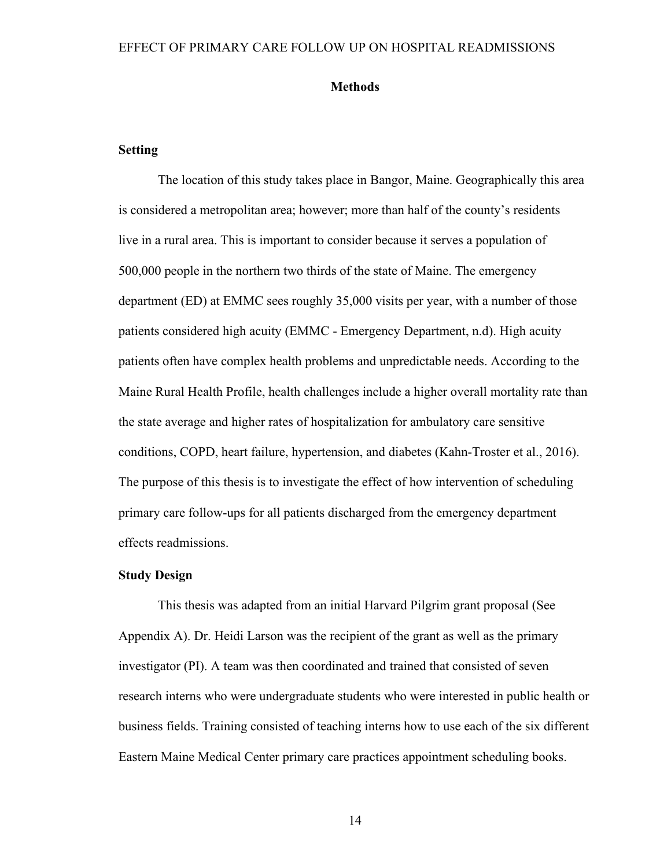#### **Methods**

## **Setting**

The location of this study takes place in Bangor, Maine. Geographically this area is considered a metropolitan area; however; more than half of the county's residents live in a rural area. This is important to consider because it serves a population of 500,000 people in the northern two thirds of the state of Maine. The emergency department (ED) at EMMC sees roughly 35,000 visits per year, with a number of those patients considered high acuity (EMMC - Emergency Department, n.d). High acuity patients often have complex health problems and unpredictable needs. According to the Maine Rural Health Profile, health challenges include a higher overall mortality rate than the state average and higher rates of hospitalization for ambulatory care sensitive conditions, COPD, heart failure, hypertension, and diabetes (Kahn-Troster et al., 2016). The purpose of this thesis is to investigate the effect of how intervention of scheduling primary care follow-ups for all patients discharged from the emergency department effects readmissions.

## **Study Design**

This thesis was adapted from an initial Harvard Pilgrim grant proposal (See Appendix A). Dr. Heidi Larson was the recipient of the grant as well as the primary investigator (PI). A team was then coordinated and trained that consisted of seven research interns who were undergraduate students who were interested in public health or business fields. Training consisted of teaching interns how to use each of the six different Eastern Maine Medical Center primary care practices appointment scheduling books.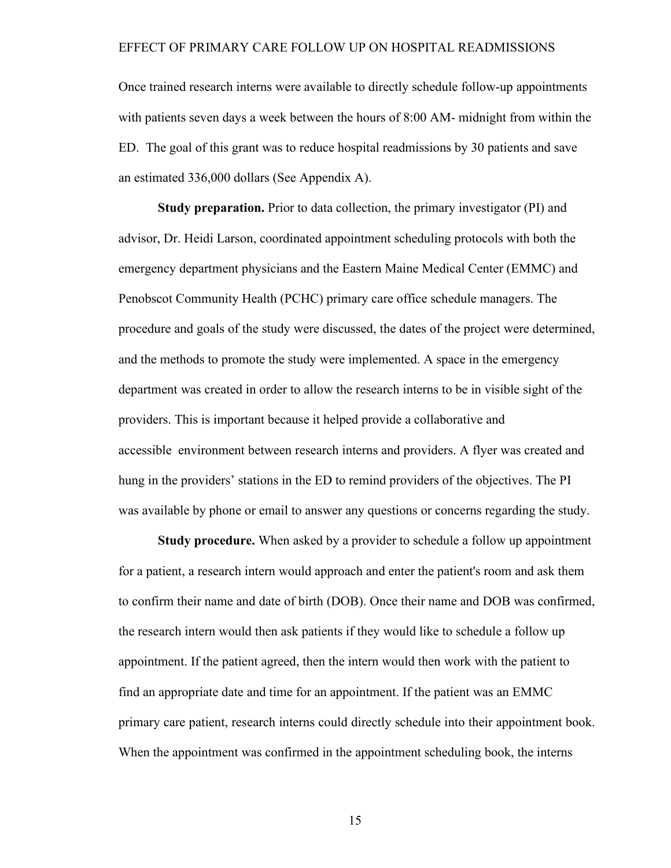Once trained research interns were available to directly schedule follow-up appointments with patients seven days a week between the hours of 8:00 AM- midnight from within the ED. The goal of this grant was to reduce hospital readmissions by 30 patients and save an estimated 336,000 dollars (See Appendix A).

**Study preparation.** Prior to data collection, the primary investigator (PI) and advisor, Dr. Heidi Larson, coordinated appointment scheduling protocols with both the emergency department physicians and the Eastern Maine Medical Center (EMMC) and Penobscot Community Health (PCHC) primary care office schedule managers. The procedure and goals of the study were discussed, the dates of the project were determined, and the methods to promote the study were implemented. A space in the emergency department was created in order to allow the research interns to be in visible sight of the providers. This is important because it helped provide a collaborative and accessible environment between research interns and providers. A flyer was created and hung in the providers' stations in the ED to remind providers of the objectives. The PI was available by phone or email to answer any questions or concerns regarding the study.

**Study procedure.** When asked by a provider to schedule a follow up appointment for a patient, a research intern would approach and enter the patient's room and ask them to confirm their name and date of birth (DOB). Once their name and DOB was confirmed, the research intern would then ask patients if they would like to schedule a follow up appointment. If the patient agreed, then the intern would then work with the patient to find an appropriate date and time for an appointment. If the patient was an EMMC primary care patient, research interns could directly schedule into their appointment book. When the appointment was confirmed in the appointment scheduling book, the interns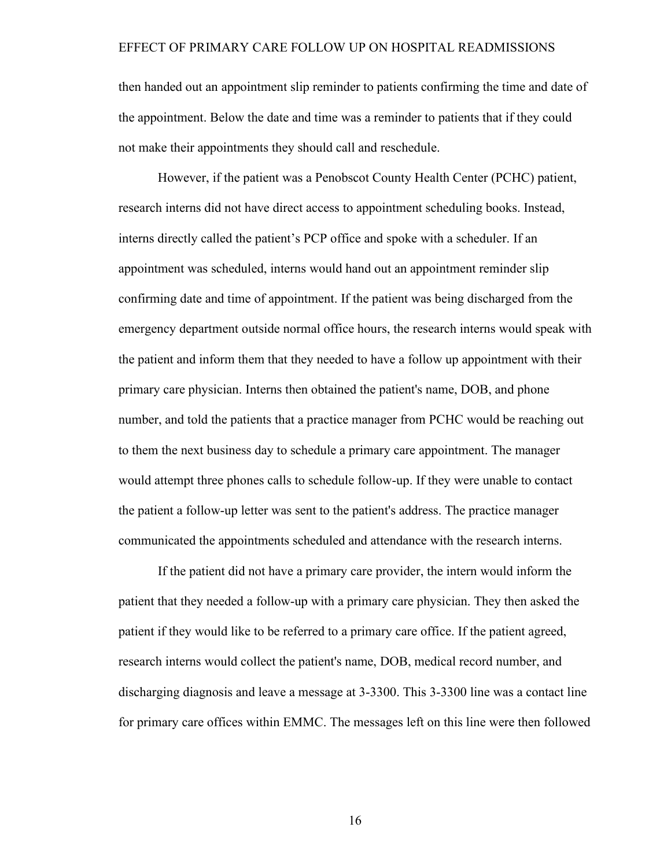then handed out an appointment slip reminder to patients confirming the time and date of the appointment. Below the date and time was a reminder to patients that if they could not make their appointments they should call and reschedule.

However, if the patient was a Penobscot County Health Center (PCHC) patient, research interns did not have direct access to appointment scheduling books. Instead, interns directly called the patient's PCP office and spoke with a scheduler. If an appointment was scheduled, interns would hand out an appointment reminder slip confirming date and time of appointment. If the patient was being discharged from the emergency department outside normal office hours, the research interns would speak with the patient and inform them that they needed to have a follow up appointment with their primary care physician. Interns then obtained the patient's name, DOB, and phone number, and told the patients that a practice manager from PCHC would be reaching out to them the next business day to schedule a primary care appointment. The manager would attempt three phones calls to schedule follow-up. If they were unable to contact the patient a follow-up letter was sent to the patient's address. The practice manager communicated the appointments scheduled and attendance with the research interns.

If the patient did not have a primary care provider, the intern would inform the patient that they needed a follow-up with a primary care physician. They then asked the patient if they would like to be referred to a primary care office. If the patient agreed, research interns would collect the patient's name, DOB, medical record number, and discharging diagnosis and leave a message at 3-3300. This 3-3300 line was a contact line for primary care offices within EMMC. The messages left on this line were then followed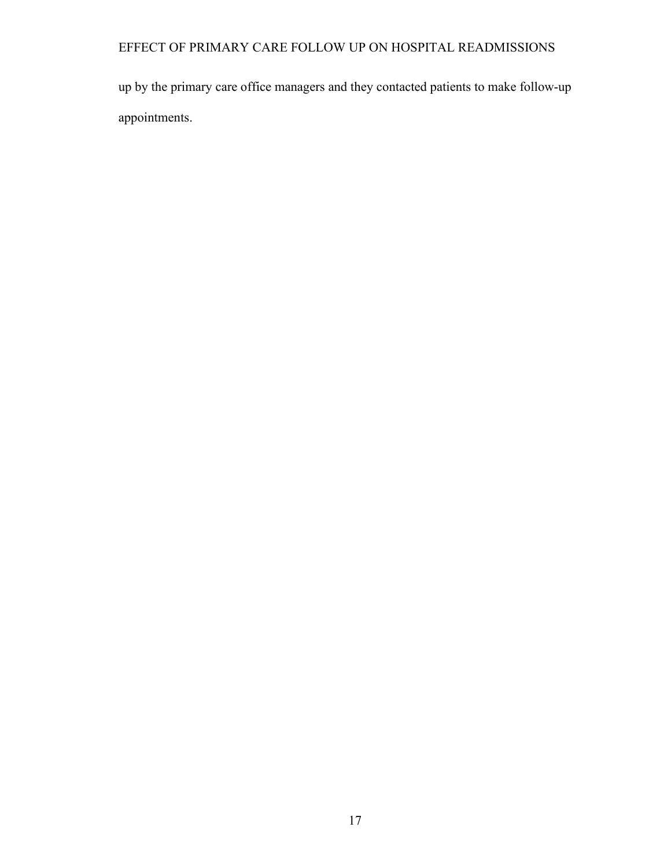up by the primary care office managers and they contacted patients to make follow-up appointments.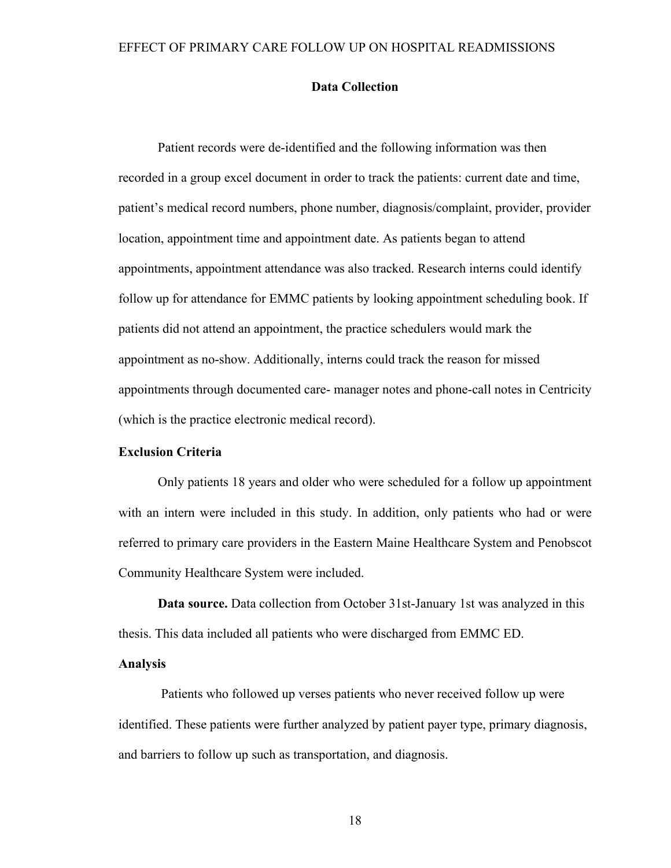## **Data Collection**

Patient records were de-identified and the following information was then recorded in a group excel document in order to track the patients: current date and time, patient's medical record numbers, phone number, diagnosis/complaint, provider, provider location, appointment time and appointment date. As patients began to attend appointments, appointment attendance was also tracked. Research interns could identify follow up for attendance for EMMC patients by looking appointment scheduling book. If patients did not attend an appointment, the practice schedulers would mark the appointment as no-show. Additionally, interns could track the reason for missed appointments through documented care- manager notes and phone-call notes in Centricity (which is the practice electronic medical record).

## **Exclusion Criteria**

Only patients 18 years and older who were scheduled for a follow up appointment with an intern were included in this study. In addition, only patients who had or were referred to primary care providers in the Eastern Maine Healthcare System and Penobscot Community Healthcare System were included.

**Data source.** Data collection from October 31st-January 1st was analyzed in this thesis. This data included all patients who were discharged from EMMC ED.

### **Analysis**

Patients who followed up verses patients who never received follow up were identified. These patients were further analyzed by patient payer type, primary diagnosis, and barriers to follow up such as transportation, and diagnosis.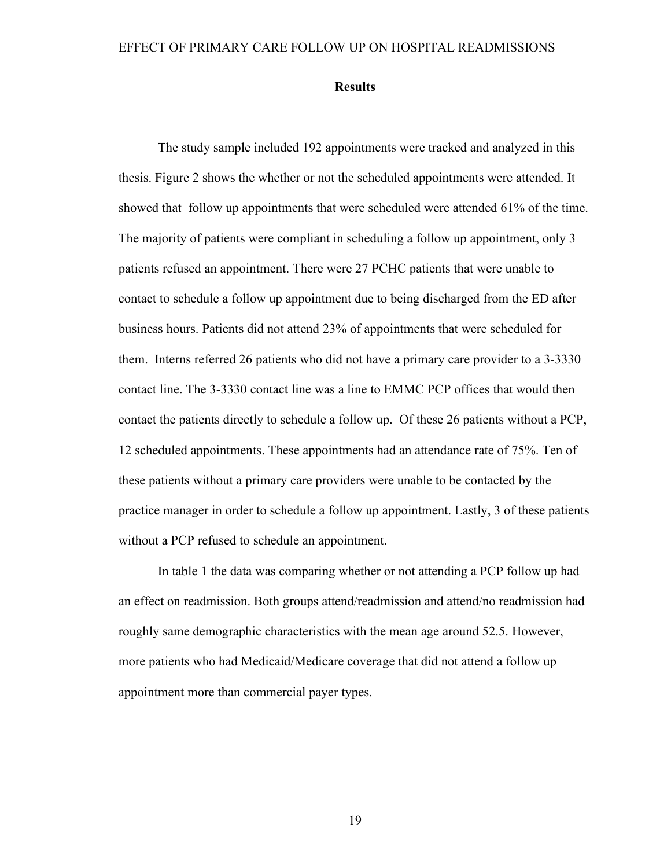#### **Results**

The study sample included 192 appointments were tracked and analyzed in this thesis. Figure 2 shows the whether or not the scheduled appointments were attended. It showed that follow up appointments that were scheduled were attended 61% of the time. The majority of patients were compliant in scheduling a follow up appointment, only 3 patients refused an appointment. There were 27 PCHC patients that were unable to contact to schedule a follow up appointment due to being discharged from the ED after business hours. Patients did not attend 23% of appointments that were scheduled for them. Interns referred 26 patients who did not have a primary care provider to a 3-3330 contact line. The 3-3330 contact line was a line to EMMC PCP offices that would then contact the patients directly to schedule a follow up. Of these 26 patients without a PCP, 12 scheduled appointments. These appointments had an attendance rate of 75%. Ten of these patients without a primary care providers were unable to be contacted by the practice manager in order to schedule a follow up appointment. Lastly, 3 of these patients without a PCP refused to schedule an appointment.

In table 1 the data was comparing whether or not attending a PCP follow up had an effect on readmission. Both groups attend/readmission and attend/no readmission had roughly same demographic characteristics with the mean age around 52.5. However, more patients who had Medicaid/Medicare coverage that did not attend a follow up appointment more than commercial payer types.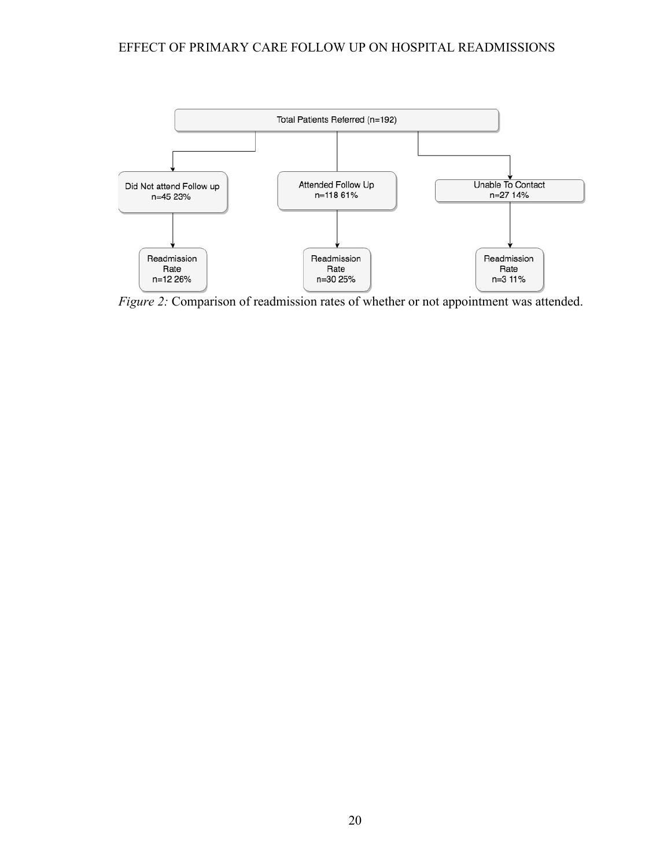

*Figure 2:* Comparison of readmission rates of whether or not appointment was attended.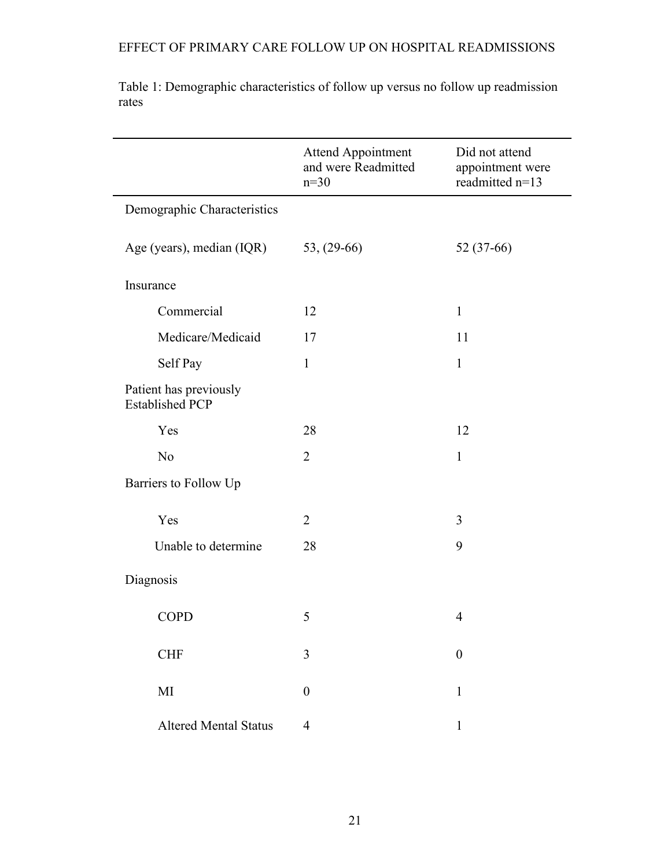|                                                  | Attend Appointment<br>and were Readmitted<br>$n=30$ | Did not attend<br>appointment were<br>readmitted n=13 |
|--------------------------------------------------|-----------------------------------------------------|-------------------------------------------------------|
| Demographic Characteristics                      |                                                     |                                                       |
| Age (years), median (IQR)                        | $53, (29-66)$                                       | 52 (37-66)                                            |
| Insurance                                        |                                                     |                                                       |
| Commercial                                       | 12                                                  | $\mathbf{1}$                                          |
| Medicare/Medicaid                                | 17                                                  | 11                                                    |
| Self Pay                                         | $\mathbf{1}$                                        | $\mathbf{1}$                                          |
| Patient has previously<br><b>Established PCP</b> |                                                     |                                                       |
| Yes                                              | 28                                                  | 12                                                    |
| N <sub>o</sub>                                   | $\overline{2}$                                      | $\mathbf{1}$                                          |
| Barriers to Follow Up                            |                                                     |                                                       |
| Yes                                              | $\overline{2}$                                      | 3                                                     |
| Unable to determine                              | 28                                                  | 9                                                     |
| Diagnosis                                        |                                                     |                                                       |
| <b>COPD</b>                                      | 5                                                   | $\overline{4}$                                        |
| <b>CHF</b>                                       | 3                                                   | $\boldsymbol{0}$                                      |
| MI                                               | $\boldsymbol{0}$                                    | 1                                                     |
| <b>Altered Mental Status</b>                     | $\overline{4}$                                      | $\mathbf{1}$                                          |

Table 1: Demographic characteristics of follow up versus no follow up readmission rates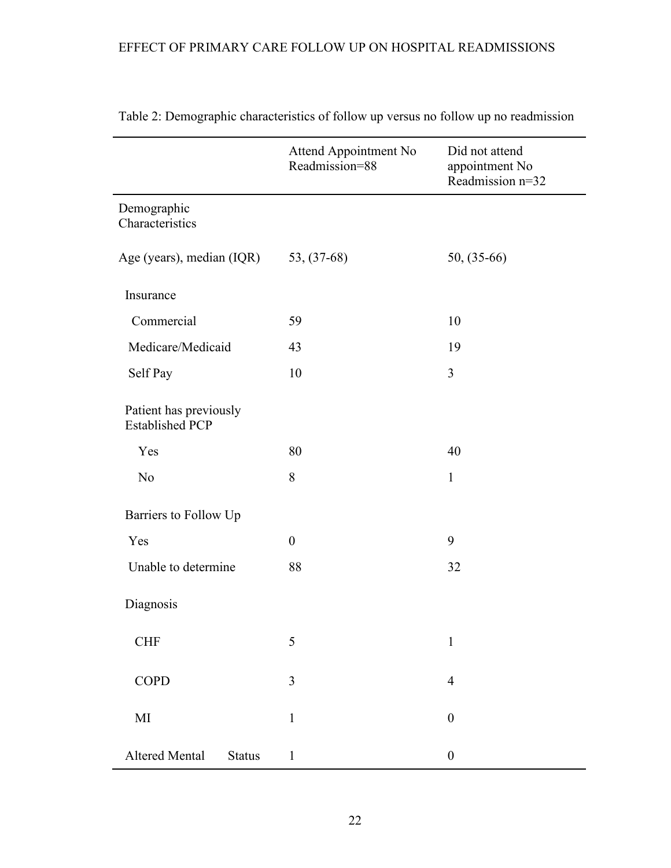|                                                  | Attend Appointment No<br>Readmission=88 | Did not attend<br>appointment No<br>Readmission n=32 |
|--------------------------------------------------|-----------------------------------------|------------------------------------------------------|
| Demographic<br>Characteristics                   |                                         |                                                      |
| Age (years), median (IQR)                        | $53, (37-68)$                           | $50, (35-66)$                                        |
| Insurance                                        |                                         |                                                      |
| Commercial                                       | 59                                      | 10                                                   |
| Medicare/Medicaid                                | 43                                      | 19                                                   |
| Self Pay                                         | 10                                      | $\overline{3}$                                       |
| Patient has previously<br><b>Established PCP</b> |                                         |                                                      |
| Yes                                              | 80                                      | 40                                                   |
| N <sub>o</sub>                                   | 8                                       | $\mathbf{1}$                                         |
| Barriers to Follow Up                            |                                         |                                                      |
| Yes                                              | $\boldsymbol{0}$                        | 9                                                    |
| Unable to determine                              | 88                                      | 32                                                   |
| Diagnosis                                        |                                         |                                                      |
| <b>CHF</b>                                       | 5                                       | $\mathbf{1}$                                         |
| <b>COPD</b>                                      | $\overline{3}$                          | $\overline{4}$                                       |
| MI                                               | $\mathbf{1}$                            | $\boldsymbol{0}$                                     |
| <b>Altered Mental</b><br><b>Status</b>           | $\mathbf{1}$                            | $\boldsymbol{0}$                                     |

Table 2: Demographic characteristics of follow up versus no follow up no readmission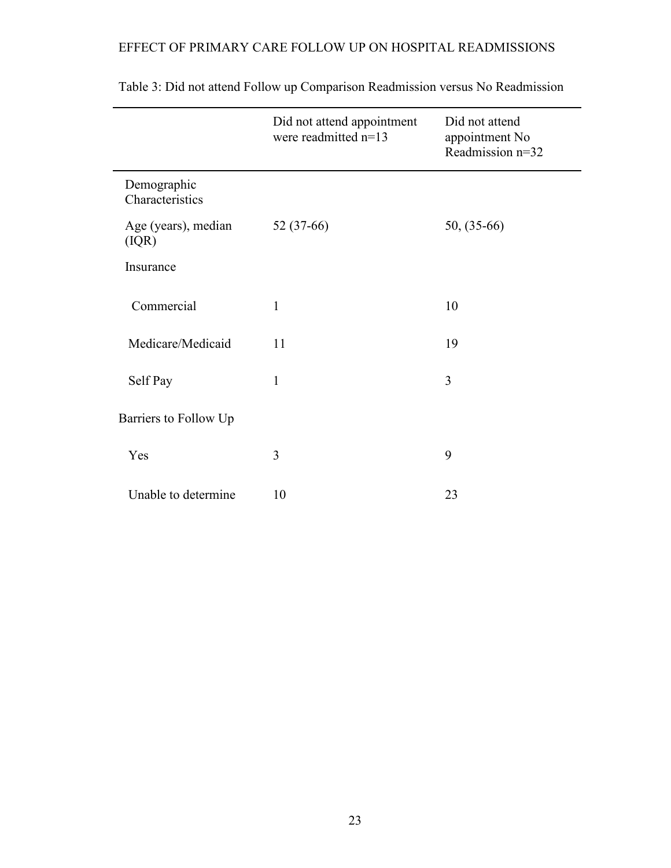|                                | Did not attend appointment<br>were readmitted n=13 | Did not attend<br>appointment No<br>Readmission n=32 |
|--------------------------------|----------------------------------------------------|------------------------------------------------------|
| Demographic<br>Characteristics |                                                    |                                                      |
| Age (years), median<br>(IQR)   | 52 (37-66)                                         | $50, (35-66)$                                        |
| Insurance                      |                                                    |                                                      |
| Commercial                     | $\mathbf{1}$                                       | 10                                                   |
| Medicare/Medicaid              | 11                                                 | 19                                                   |
| Self Pay                       | $\mathbf{1}$                                       | 3                                                    |
| Barriers to Follow Up          |                                                    |                                                      |
| Yes                            | 3                                                  | 9                                                    |
| Unable to determine            | 10                                                 | 23                                                   |

Table 3: Did not attend Follow up Comparison Readmission versus No Readmission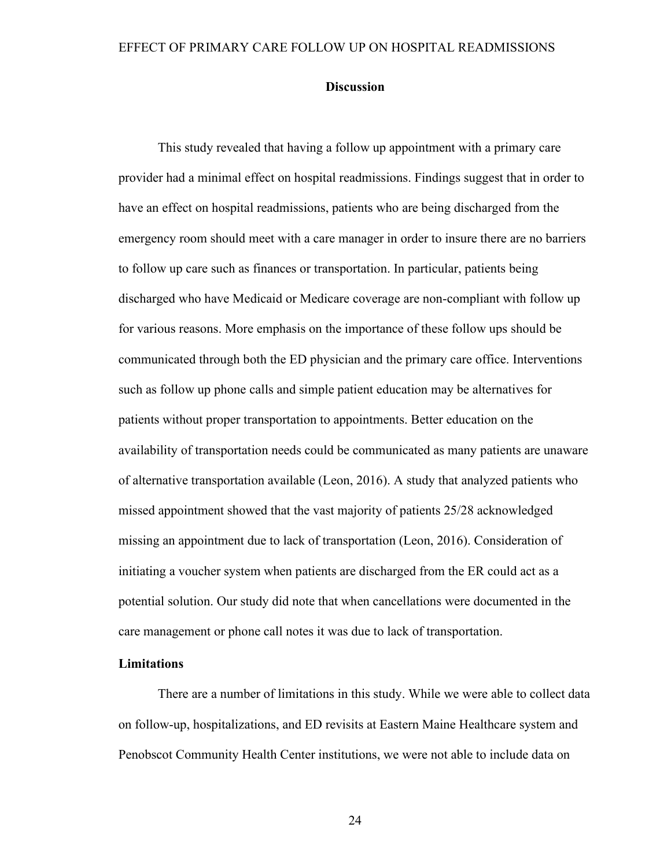## **Discussion**

This study revealed that having a follow up appointment with a primary care provider had a minimal effect on hospital readmissions. Findings suggest that in order to have an effect on hospital readmissions, patients who are being discharged from the emergency room should meet with a care manager in order to insure there are no barriers to follow up care such as finances or transportation. In particular, patients being discharged who have Medicaid or Medicare coverage are non-compliant with follow up for various reasons. More emphasis on the importance of these follow ups should be communicated through both the ED physician and the primary care office. Interventions such as follow up phone calls and simple patient education may be alternatives for patients without proper transportation to appointments. Better education on the availability of transportation needs could be communicated as many patients are unaware of alternative transportation available (Leon, 2016). A study that analyzed patients who missed appointment showed that the vast majority of patients 25/28 acknowledged missing an appointment due to lack of transportation (Leon, 2016). Consideration of initiating a voucher system when patients are discharged from the ER could act as a potential solution. Our study did note that when cancellations were documented in the care management or phone call notes it was due to lack of transportation.

## **Limitations**

There are a number of limitations in this study. While we were able to collect data on follow-up, hospitalizations, and ED revisits at Eastern Maine Healthcare system and Penobscot Community Health Center institutions, we were not able to include data on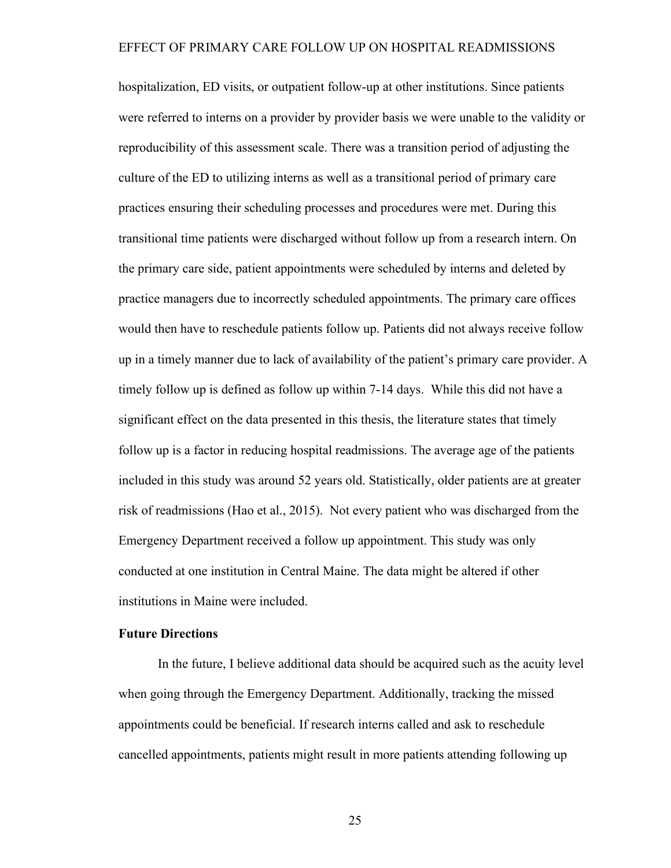hospitalization, ED visits, or outpatient follow-up at other institutions. Since patients were referred to interns on a provider by provider basis we were unable to the validity or reproducibility of this assessment scale. There was a transition period of adjusting the culture of the ED to utilizing interns as well as a transitional period of primary care practices ensuring their scheduling processes and procedures were met. During this transitional time patients were discharged without follow up from a research intern. On the primary care side, patient appointments were scheduled by interns and deleted by practice managers due to incorrectly scheduled appointments. The primary care offices would then have to reschedule patients follow up. Patients did not always receive follow up in a timely manner due to lack of availability of the patient's primary care provider. A timely follow up is defined as follow up within 7-14 days. While this did not have a significant effect on the data presented in this thesis, the literature states that timely follow up is a factor in reducing hospital readmissions. The average age of the patients included in this study was around 52 years old. Statistically, older patients are at greater risk of readmissions (Hao et al., 2015). Not every patient who was discharged from the Emergency Department received a follow up appointment. This study was only conducted at one institution in Central Maine. The data might be altered if other institutions in Maine were included.

## **Future Directions**

In the future, I believe additional data should be acquired such as the acuity level when going through the Emergency Department. Additionally, tracking the missed appointments could be beneficial. If research interns called and ask to reschedule cancelled appointments, patients might result in more patients attending following up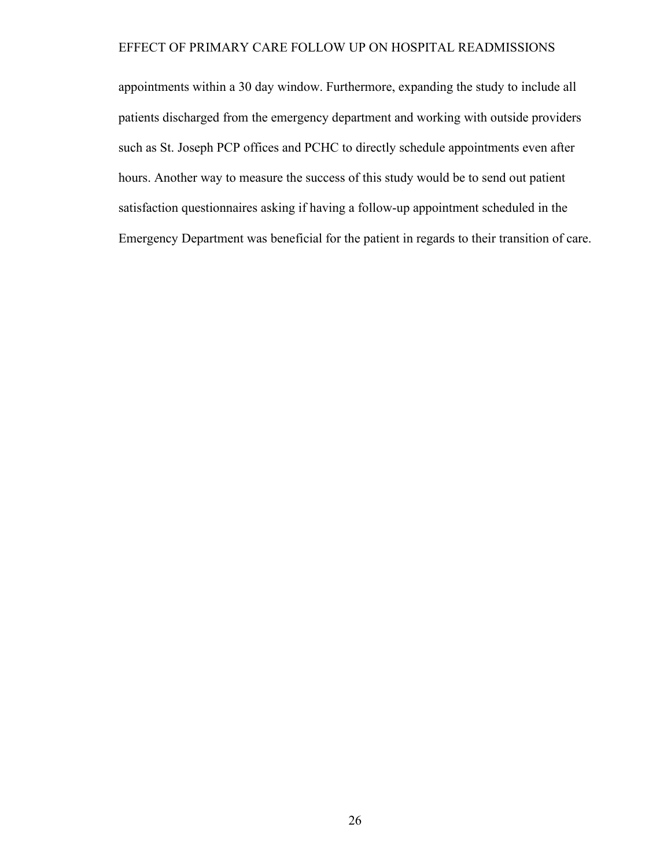appointments within a 30 day window. Furthermore, expanding the study to include all patients discharged from the emergency department and working with outside providers such as St. Joseph PCP offices and PCHC to directly schedule appointments even after hours. Another way to measure the success of this study would be to send out patient satisfaction questionnaires asking if having a follow-up appointment scheduled in the Emergency Department was beneficial for the patient in regards to their transition of care.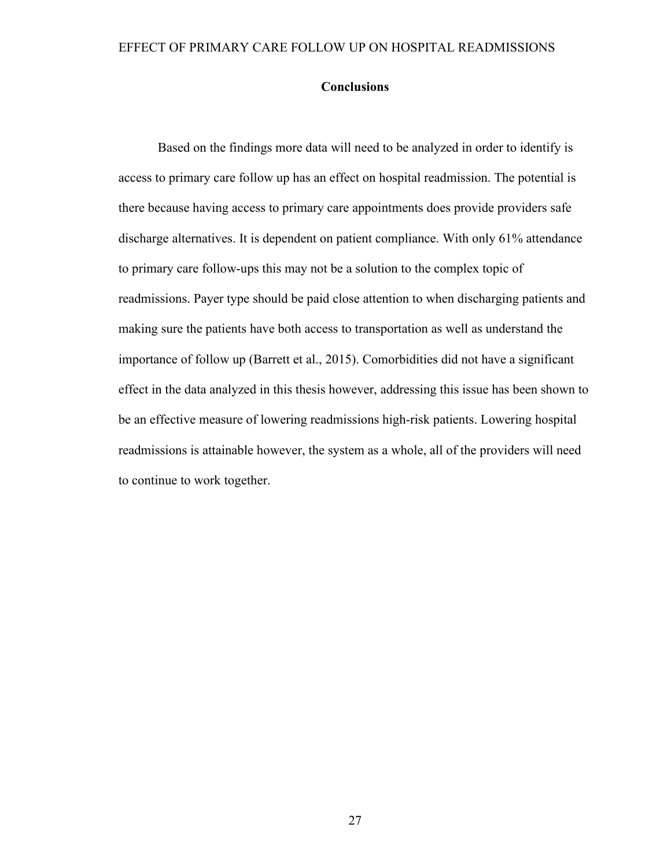## **Conclusions**

Based on the findings more data will need to be analyzed in order to identify is access to primary care follow up has an effect on hospital readmission. The potential is there because having access to primary care appointments does provide providers safe discharge alternatives. It is dependent on patient compliance. With only 61% attendance to primary care follow-ups this may not be a solution to the complex topic of readmissions. Payer type should be paid close attention to when discharging patients and making sure the patients have both access to transportation as well as understand the importance of follow up (Barrett et al., 2015). Comorbidities did not have a significant effect in the data analyzed in this thesis however, addressing this issue has been shown to be an effective measure of lowering readmissions high-risk patients. Lowering hospital readmissions is attainable however, the system as a whole, all of the providers will need to continue to work together.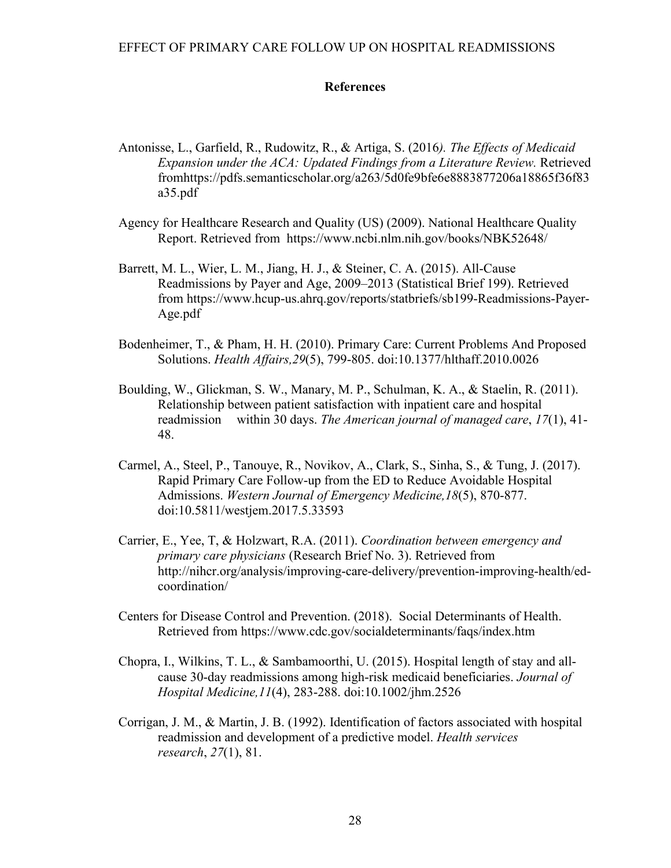### **References**

- Antonisse, L., Garfield, R., Rudowitz, R., & Artiga, S. (2016*). The Effects of Medicaid Expansion under the ACA: Updated Findings from a Literature Review.* Retrieved fromhttps://pdfs.semanticscholar.org/a263/5d0fe9bfe6e8883877206a18865f36f83 a35.pdf
- Agency for Healthcare Research and Quality (US) (2009). National Healthcare Quality Report. Retrieved from https://www.ncbi.nlm.nih.gov/books/NBK52648/
- Barrett, M. L., Wier, L. M., Jiang, H. J., & Steiner, C. A. (2015). All-Cause Readmissions by Payer and Age, 2009–2013 (Statistical Brief 199). Retrieved from https://www.hcup-us.ahrq.gov/reports/statbriefs/sb199-Readmissions-Payer-Age.pdf
- Bodenheimer, T., & Pham, H. H. (2010). Primary Care: Current Problems And Proposed Solutions. *Health Affairs,29*(5), 799-805. doi:10.1377/hlthaff.2010.0026
- Boulding, W., Glickman, S. W., Manary, M. P., Schulman, K. A., & Staelin, R. (2011). Relationship between patient satisfaction with inpatient care and hospital readmission within 30 days. *The American journal of managed care*, *17*(1), 41- 48.
- Carmel, A., Steel, P., Tanouye, R., Novikov, A., Clark, S., Sinha, S., & Tung, J. (2017). Rapid Primary Care Follow-up from the ED to Reduce Avoidable Hospital Admissions. *Western Journal of Emergency Medicine,18*(5), 870-877. doi:10.5811/westjem.2017.5.33593
- Carrier, E., Yee, T, & Holzwart, R.A. (2011). *Coordination between emergency and primary care physicians* (Research Brief No. 3). Retrieved from http://nihcr.org/analysis/improving-care-delivery/prevention-improving-health/edcoordination/
- Centers for Disease Control and Prevention. (2018). Social Determinants of Health. Retrieved from https://www.cdc.gov/socialdeterminants/faqs/index.htm
- Chopra, I., Wilkins, T. L., & Sambamoorthi, U. (2015). Hospital length of stay and allcause 30-day readmissions among high-risk medicaid beneficiaries. *Journal of Hospital Medicine,11*(4), 283-288. doi:10.1002/jhm.2526
- Corrigan, J. M., & Martin, J. B. (1992). Identification of factors associated with hospital readmission and development of a predictive model. *Health services research*, *27*(1), 81.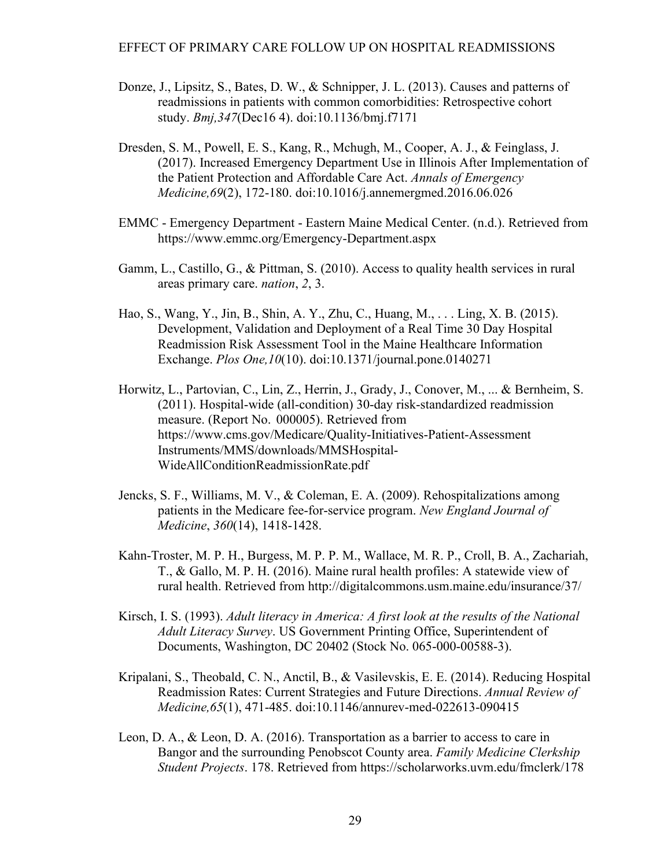- Donze, J., Lipsitz, S., Bates, D. W., & Schnipper, J. L. (2013). Causes and patterns of readmissions in patients with common comorbidities: Retrospective cohort study. *Bmj,347*(Dec16 4). doi:10.1136/bmj.f7171
- Dresden, S. M., Powell, E. S., Kang, R., Mchugh, M., Cooper, A. J., & Feinglass, J. (2017). Increased Emergency Department Use in Illinois After Implementation of the Patient Protection and Affordable Care Act. *Annals of Emergency Medicine,69*(2), 172-180. doi:10.1016/j.annemergmed.2016.06.026
- EMMC Emergency Department Eastern Maine Medical Center. (n.d.). Retrieved from https://www.emmc.org/Emergency-Department.aspx
- Gamm, L., Castillo, G., & Pittman, S. (2010). Access to quality health services in rural areas primary care. *nation*, *2*, 3.
- Hao, S., Wang, Y., Jin, B., Shin, A. Y., Zhu, C., Huang, M., . . . Ling, X. B. (2015). Development, Validation and Deployment of a Real Time 30 Day Hospital Readmission Risk Assessment Tool in the Maine Healthcare Information Exchange. *Plos One,10*(10). doi:10.1371/journal.pone.0140271
- Horwitz, L., Partovian, C., Lin, Z., Herrin, J., Grady, J., Conover, M., ... & Bernheim, S. (2011). Hospital-wide (all-condition) 30-day risk-standardized readmission measure. (Report No. 000005). Retrieved from https://www.cms.gov/Medicare/Quality-Initiatives-Patient-Assessment Instruments/MMS/downloads/MMSHospital-WideAllConditionReadmissionRate.pdf
- Jencks, S. F., Williams, M. V., & Coleman, E. A. (2009). Rehospitalizations among patients in the Medicare fee-for-service program. *New England Journal of Medicine*, *360*(14), 1418-1428.
- Kahn-Troster, M. P. H., Burgess, M. P. P. M., Wallace, M. R. P., Croll, B. A., Zachariah, T., & Gallo, M. P. H. (2016). Maine rural health profiles: A statewide view of rural health. Retrieved from http://digitalcommons.usm.maine.edu/insurance/37/
- Kirsch, I. S. (1993). *Adult literacy in America: A first look at the results of the National Adult Literacy Survey*. US Government Printing Office, Superintendent of Documents, Washington, DC 20402 (Stock No. 065-000-00588-3).
- Kripalani, S., Theobald, C. N., Anctil, B., & Vasilevskis, E. E. (2014). Reducing Hospital Readmission Rates: Current Strategies and Future Directions. *Annual Review of Medicine,65*(1), 471-485. doi:10.1146/annurev-med-022613-090415
- Leon, D. A., & Leon, D. A. (2016). Transportation as a barrier to access to care in Bangor and the surrounding Penobscot County area. *Family Medicine Clerkship Student Projects*. 178. Retrieved from https://scholarworks.uvm.edu/fmclerk/178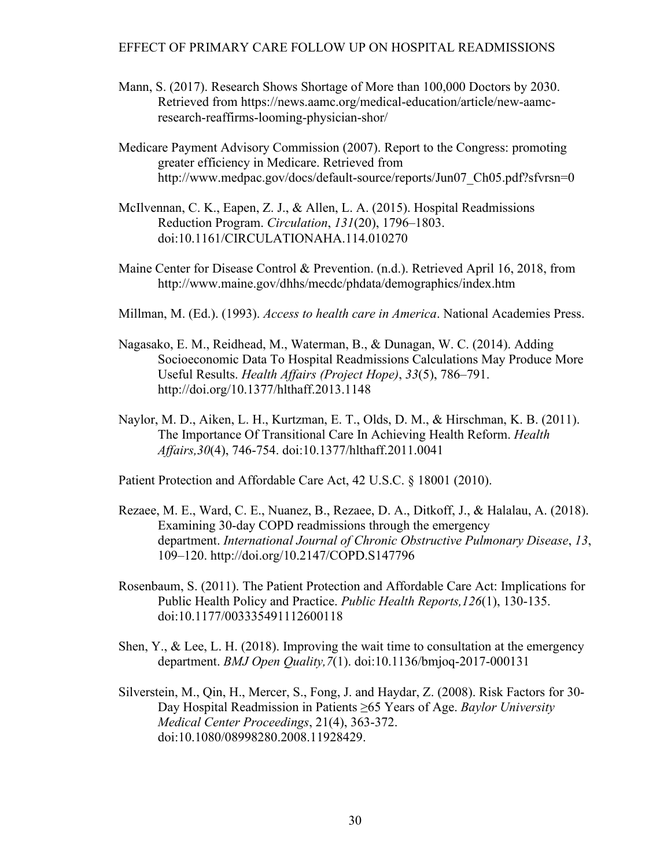- Mann, S. (2017). Research Shows Shortage of More than 100,000 Doctors by 2030. Retrieved from https://news.aamc.org/medical-education/article/new-aamcresearch-reaffirms-looming-physician-shor/
- Medicare Payment Advisory Commission (2007). Report to the Congress: promoting greater efficiency in Medicare. Retrieved from http://www.medpac.gov/docs/default-source/reports/Jun07\_Ch05.pdf?sfvrsn=0
- McIlvennan, C. K., Eapen, Z. J., & Allen, L. A. (2015). Hospital Readmissions Reduction Program. *Circulation*, *131*(20), 1796–1803. doi:10.1161/CIRCULATIONAHA.114.010270
- Maine Center for Disease Control & Prevention. (n.d.). Retrieved April 16, 2018, from http://www.maine.gov/dhhs/mecdc/phdata/demographics/index.htm
- Millman, M. (Ed.). (1993). *Access to health care in America*. National Academies Press.
- Nagasako, E. M., Reidhead, M., Waterman, B., & Dunagan, W. C. (2014). Adding Socioeconomic Data To Hospital Readmissions Calculations May Produce More Useful Results. *Health Affairs (Project Hope)*, *33*(5), 786–791. http://doi.org/10.1377/hlthaff.2013.1148
- Naylor, M. D., Aiken, L. H., Kurtzman, E. T., Olds, D. M., & Hirschman, K. B. (2011). The Importance Of Transitional Care In Achieving Health Reform. *Health Affairs,30*(4), 746-754. doi:10.1377/hlthaff.2011.0041

Patient Protection and Affordable Care Act, 42 U.S.C. § 18001 (2010).

- Rezaee, M. E., Ward, C. E., Nuanez, B., Rezaee, D. A., Ditkoff, J., & Halalau, A. (2018). Examining 30-day COPD readmissions through the emergency department. *International Journal of Chronic Obstructive Pulmonary Disease*, *13*, 109–120. http://doi.org/10.2147/COPD.S147796
- Rosenbaum, S. (2011). The Patient Protection and Affordable Care Act: Implications for Public Health Policy and Practice. *Public Health Reports,126*(1), 130-135. doi:10.1177/003335491112600118
- Shen, Y., & Lee, L. H. (2018). Improving the wait time to consultation at the emergency department. *BMJ Open Quality,7*(1). doi:10.1136/bmjoq-2017-000131
- Silverstein, M., Qin, H., Mercer, S., Fong, J. and Haydar, Z. (2008). Risk Factors for 30- Day Hospital Readmission in Patients ≥65 Years of Age. *Baylor University Medical Center Proceedings*, 21(4), 363-372. doi:10.1080/08998280.2008.11928429.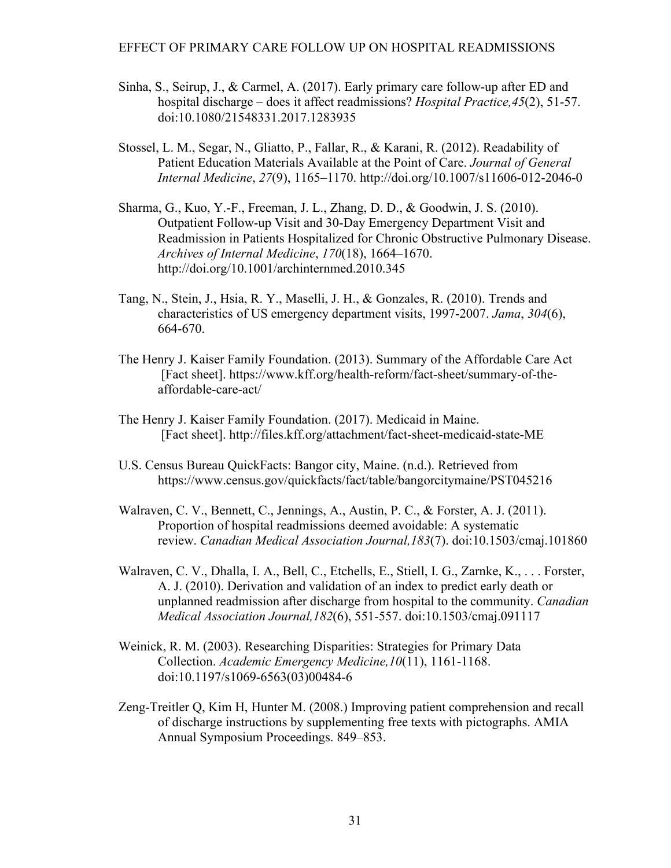- Sinha, S., Seirup, J., & Carmel, A. (2017). Early primary care follow-up after ED and hospital discharge – does it affect readmissions? *Hospital Practice,45*(2), 51-57. doi:10.1080/21548331.2017.1283935
- Stossel, L. M., Segar, N., Gliatto, P., Fallar, R., & Karani, R. (2012). Readability of Patient Education Materials Available at the Point of Care. *Journal of General Internal Medicine*, *27*(9), 1165–1170. http://doi.org/10.1007/s11606-012-2046-0
- Sharma, G., Kuo, Y.-F., Freeman, J. L., Zhang, D. D., & Goodwin, J. S. (2010). Outpatient Follow-up Visit and 30-Day Emergency Department Visit and Readmission in Patients Hospitalized for Chronic Obstructive Pulmonary Disease. *Archives of Internal Medicine*, *170*(18), 1664–1670. http://doi.org/10.1001/archinternmed.2010.345
- Tang, N., Stein, J., Hsia, R. Y., Maselli, J. H., & Gonzales, R. (2010). Trends and characteristics of US emergency department visits, 1997-2007. *Jama*, *304*(6), 664-670.
- The Henry J. Kaiser Family Foundation. (2013). Summary of the Affordable Care Act [Fact sheet]. https://www.kff.org/health-reform/fact-sheet/summary-of-theaffordable-care-act/
- The Henry J. Kaiser Family Foundation. (2017). Medicaid in Maine. [Fact sheet]. http://files.kff.org/attachment/fact-sheet-medicaid-state-ME
- U.S. Census Bureau QuickFacts: Bangor city, Maine. (n.d.). Retrieved from https://www.census.gov/quickfacts/fact/table/bangorcitymaine/PST045216
- Walraven, C. V., Bennett, C., Jennings, A., Austin, P. C., & Forster, A. J. (2011). Proportion of hospital readmissions deemed avoidable: A systematic review. *Canadian Medical Association Journal,183*(7). doi:10.1503/cmaj.101860
- Walraven, C. V., Dhalla, I. A., Bell, C., Etchells, E., Stiell, I. G., Zarnke, K., . . . Forster, A. J. (2010). Derivation and validation of an index to predict early death or unplanned readmission after discharge from hospital to the community. *Canadian Medical Association Journal,182*(6), 551-557. doi:10.1503/cmaj.091117
- Weinick, R. M. (2003). Researching Disparities: Strategies for Primary Data Collection. *Academic Emergency Medicine,10*(11), 1161-1168. doi:10.1197/s1069-6563(03)00484-6
- Zeng-Treitler Q, Kim H, Hunter M. (2008.) Improving patient comprehension and recall of discharge instructions by supplementing free texts with pictographs. AMIA Annual Symposium Proceedings. 849–853.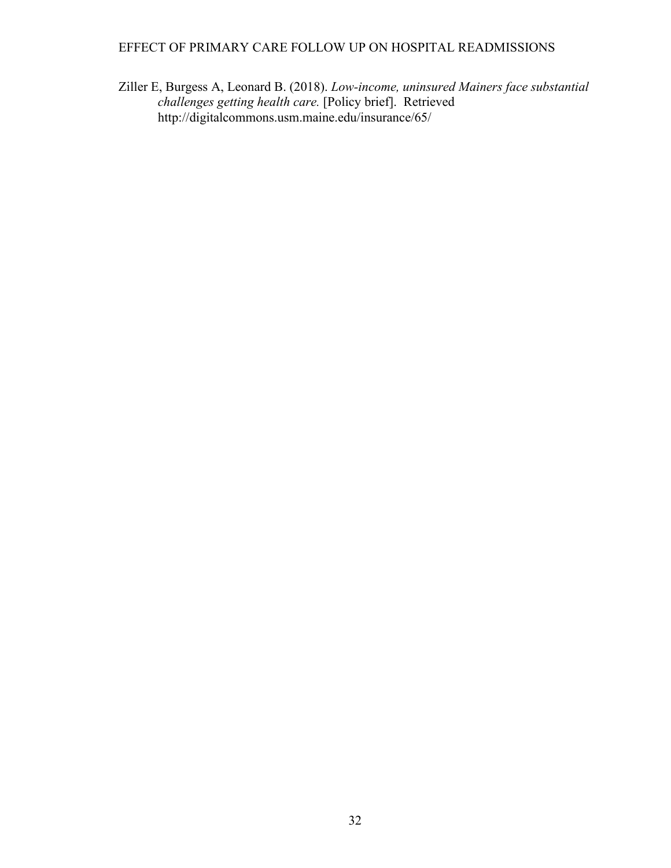Ziller E, Burgess A, Leonard B. (2018). *Low-income, uninsured Mainers face substantial challenges getting health care.* [Policy brief]. Retrieved http://digitalcommons.usm.maine.edu/insurance/65/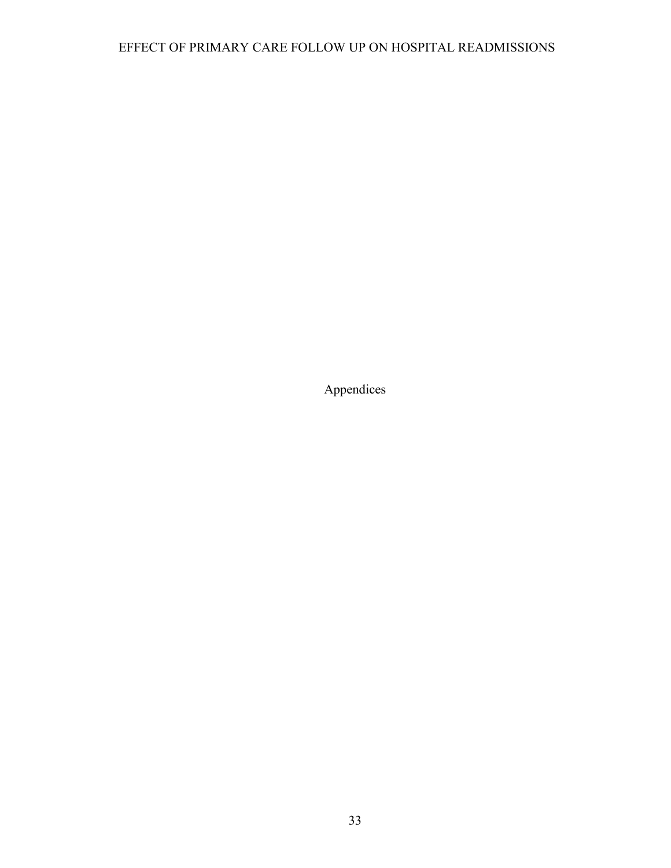Appendices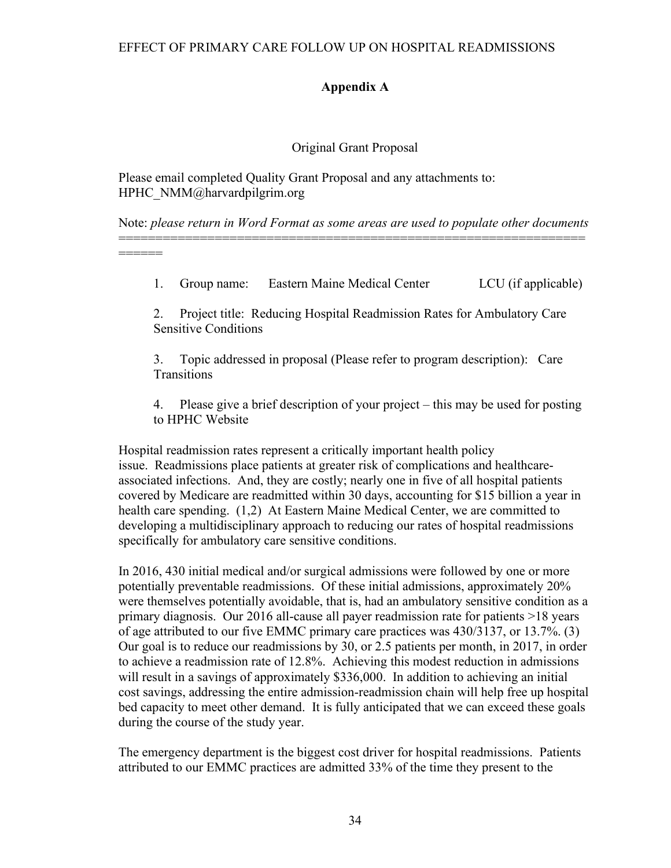## **Appendix A**

## Original Grant Proposal

Please email completed Quality Grant Proposal and any attachments to: HPHC\_NMM@harvardpilgrim.org

======

Note: *please return in Word Format as some areas are used to populate other documents* ===============================================================

1. Group name: Eastern Maine Medical Center LCU (if applicable)

2. Project title: Reducing Hospital Readmission Rates for Ambulatory Care Sensitive Conditions

3. Topic addressed in proposal (Please refer to program description): Care **Transitions** 

4. Please give a brief description of your project – this may be used for posting to HPHC Website

Hospital readmission rates represent a critically important health policy issue. Readmissions place patients at greater risk of complications and healthcareassociated infections. And, they are costly; nearly one in five of all hospital patients covered by Medicare are readmitted within 30 days, accounting for \$15 billion a year in health care spending. (1,2) At Eastern Maine Medical Center, we are committed to developing a multidisciplinary approach to reducing our rates of hospital readmissions specifically for ambulatory care sensitive conditions.

In 2016, 430 initial medical and/or surgical admissions were followed by one or more potentially preventable readmissions. Of these initial admissions, approximately 20% were themselves potentially avoidable, that is, had an ambulatory sensitive condition as a primary diagnosis. Our 2016 all-cause all payer readmission rate for patients >18 years of age attributed to our five EMMC primary care practices was 430/3137, or 13.7%. (3) Our goal is to reduce our readmissions by 30, or 2.5 patients per month, in 2017, in order to achieve a readmission rate of 12.8%. Achieving this modest reduction in admissions will result in a savings of approximately \$336,000. In addition to achieving an initial cost savings, addressing the entire admission-readmission chain will help free up hospital bed capacity to meet other demand. It is fully anticipated that we can exceed these goals during the course of the study year.

The emergency department is the biggest cost driver for hospital readmissions. Patients attributed to our EMMC practices are admitted 33% of the time they present to the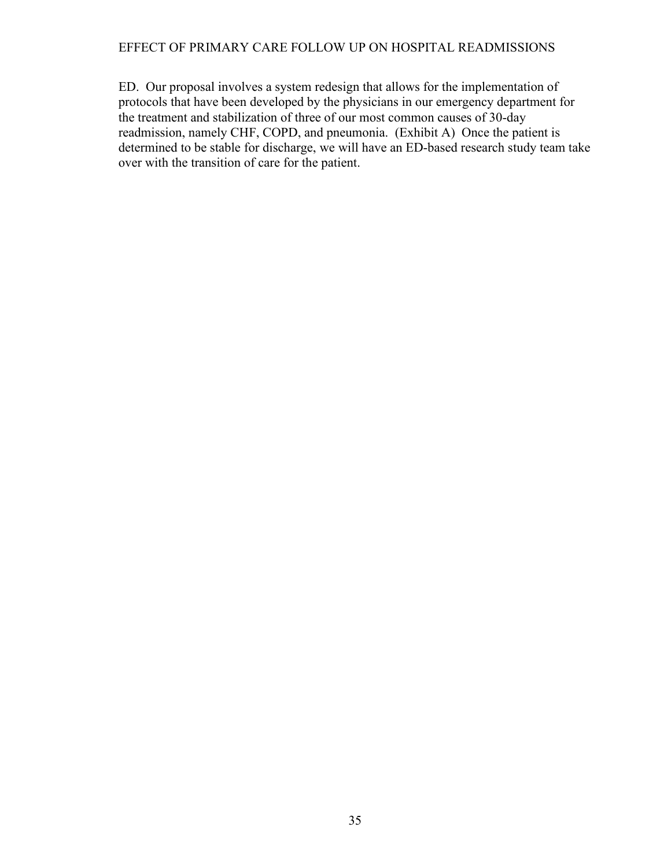ED. Our proposal involves a system redesign that allows for the implementation of protocols that have been developed by the physicians in our emergency department for the treatment and stabilization of three of our most common causes of 30-day readmission, namely CHF, COPD, and pneumonia. (Exhibit A) Once the patient is determined to be stable for discharge, we will have an ED-based research study team take over with the transition of care for the patient.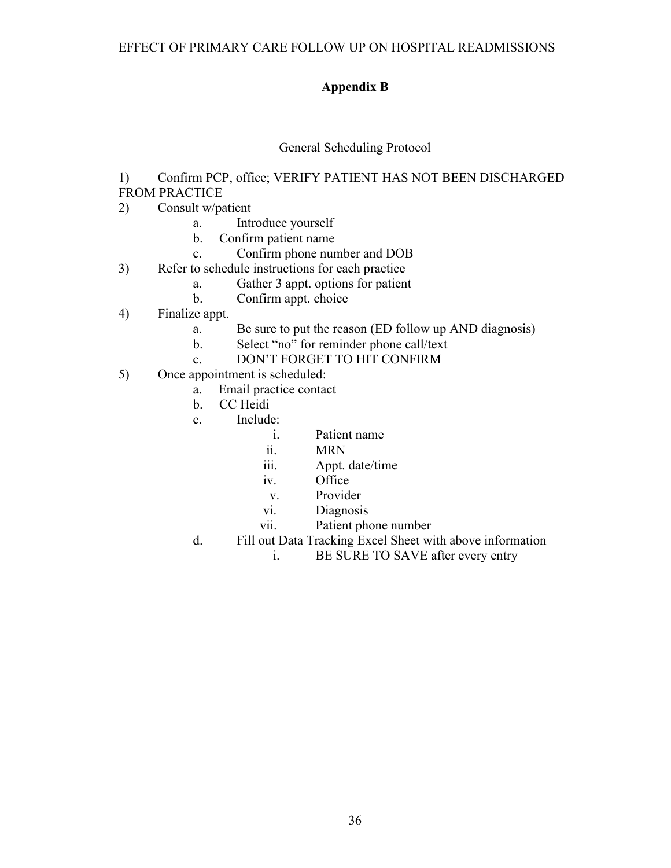## **Appendix B**

## General Scheduling Protocol

1) Confirm PCP, office; VERIFY PATIENT HAS NOT BEEN DISCHARGED FROM PRACTICE

- 2) Consult w/patient
	- a. Introduce yourself
	- b. Confirm patient name
	- c. Confirm phone number and DOB
- 3) Refer to schedule instructions for each practice
	- a. Gather 3 appt. options for patient
	- b. Confirm appt. choice
- 4) Finalize appt.
	- a. Be sure to put the reason (ED follow up AND diagnosis)
	- b. Select "no" for reminder phone call/text
	- c. DON'T FORGET TO HIT CONFIRM
- 5) Once appointment is scheduled:
	- a. Email practice contact
	- b. CC Heidi
	- c. Include:
		- i. Patient name
		- ii. MRN
		- iii. Appt. date/time
		- iv. Office
			- v. Provider
		- vi. Diagnosis
		- vii. Patient phone number
	- d. Fill out Data Tracking Excel Sheet with above information
		- i. BE SURE TO SAVE after every entry